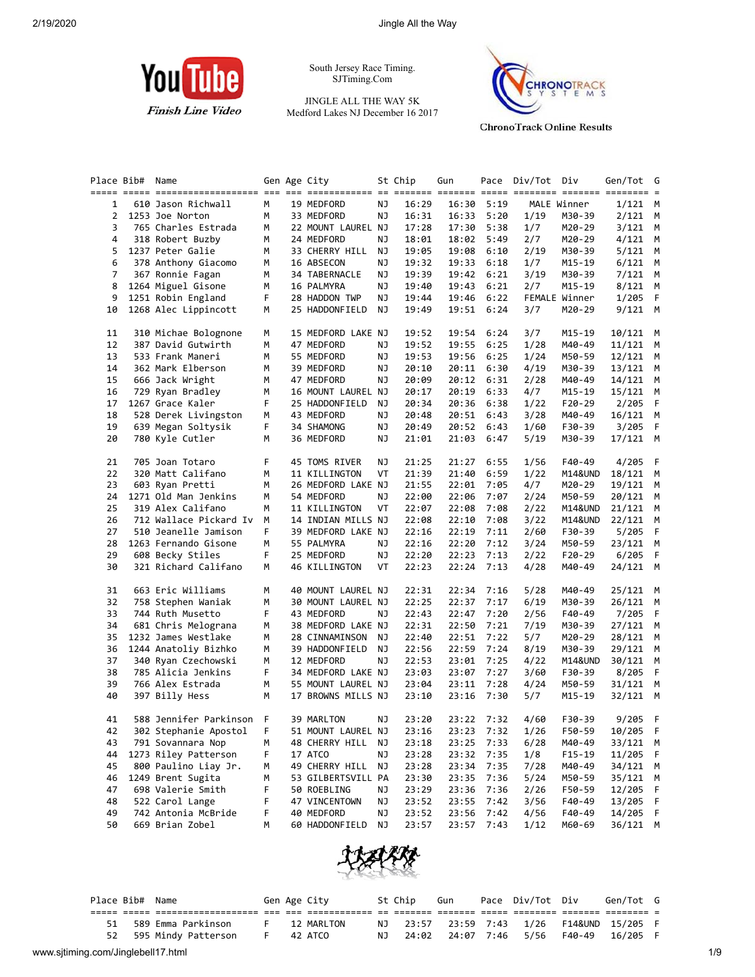

South Jersey Race Timing. SJTiming.Com

JINGLE ALL THE WAY 5K Medford Lakes NJ December 16 2017



**ChronoTrack Online Results** 

|    | Place Bib# Name |                          |   | Gen Age City       |    | St Chip | Gun   |              | Pace Div/Tot Div |               | Gen/Tot         | G   |
|----|-----------------|--------------------------|---|--------------------|----|---------|-------|--------------|------------------|---------------|-----------------|-----|
|    |                 |                          |   |                    |    |         |       |              |                  |               |                 |     |
| 1  |                 | 610 Jason Richwall       | М | 19 MEDFORD         | ΝJ | 16:29   | 16:30 | 5:19         |                  | MALE Winner   | $1/121$ M       |     |
| 2  |                 | 1253 Joe Norton          | м | 33 MEDFORD         | ΝJ | 16:31   | 16:33 | 5:20         | 1/19             | M30-39        | 2/121           | M   |
| 3  |                 | 765 Charles Estrada      | М | 22 MOUNT LAUREL NJ |    | 17:28   | 17:30 | 5:38         | 1/7              | M20-29        | $3/121$ M       |     |
| 4  |                 | 318 Robert Buzby         | М | 24 MEDFORD         | ΝJ | 18:01   | 18:02 | 5:49         | 2/7              | M20-29        | 4/121           | M   |
| 5  |                 | 1237 Peter Galie         | м | 33 CHERRY HILL     | ΝJ | 19:05   | 19:08 | 6:10         | 2/19             | M30-39        | $5/121$ M       |     |
| 6  |                 | 378 Anthony Giacomo      | М | 16 ABSECON         | ΝJ | 19:32   | 19:33 | 6:18         | 1/7              | M15-19        | $6/121$ M       |     |
| 7  |                 | 367 Ronnie Fagan         | м | 34 TABERNACLE      | ΝJ | 19:39   | 19:42 | 6:21         | 3/19             | M30-39        | 7/121           | M   |
| 8  |                 | 1264 Miguel Gisone       | м | 16 PALMYRA         | ΝJ | 19:40   | 19:43 | 6:21         | 2/7              | M15-19        | $8/121$ M       |     |
| 9  |                 | 1251 Robin England       | F | 28 HADDON TWP      | ΝJ | 19:44   | 19:46 | 6:22         |                  | FEMALE Winner | 1/205           | F   |
| 10 |                 | 1268 Alec Lippincott     | М | 25 HADDONFIELD     | ΝJ | 19:49   | 19:51 | 6:24         | 3/7              | M20-29        | $9/121$ M       |     |
| 11 |                 | 310 Michae Bolognone     | М | 15 MEDFORD LAKE NJ |    | 19:52   | 19:54 | 6:24         | 3/7              | M15-19        | 10/121 M        |     |
| 12 |                 | 387 David Gutwirth       | М | 47 MEDFORD         | ΝJ | 19:52   | 19:55 | 6:25         | 1/28             | M40-49        | 11/121          | M   |
| 13 |                 | 533 Frank Maneri         | м | 55 MEDFORD         | ΝJ | 19:53   | 19:56 | 6:25         | 1/24             | M50-59        | 12/121          | M   |
| 14 |                 | 362 Mark Elberson        | М | 39 MEDFORD         | ΝJ | 20:10   | 20:11 | 6:30         | 4/19             | M30-39        | 13/121 M        |     |
| 15 |                 | 666 Jack Wright          | м | 47 MEDFORD         | ΝJ | 20:09   | 20:12 | 6:31         | 2/28             | M40-49        | 14/121          | M   |
| 16 |                 | 729 Ryan Bradley         | м | 16 MOUNT LAUREL NJ |    | 20:17   | 20:19 | 6:33         | 4/7              | M15-19        | 15/121 M        |     |
| 17 |                 | 1267 Grace Kaler         | F | 25 HADDONFIELD     | ΝJ | 20:34   | 20:36 | 6:38         | 1/22             | $F20-29$      | 2/205           | F   |
| 18 |                 | 528 Derek Livingston     | м | 43 MEDFORD         | ΝJ | 20:48   | 20:51 | 6:43         | 3/28             | M40-49        | 16/121          | M   |
| 19 |                 | 639 Megan Soltysik       | F | 34 SHAMONG         | ΝJ | 20:49   | 20:52 | 6:43         | 1/60             | F30-39        | 3/205           | F   |
| 20 |                 | 780 Kyle Cutler          | м | 36 MEDFORD         | ΝJ | 21:01   | 21:03 | 6:47         | 5/19             | M30-39        | 17/121 M        |     |
| 21 |                 | 705 Joan Totaro          | F | 45 TOMS RIVER      | ΝJ | 21:25   | 21:27 | 6:55         | 1/56             | F40-49        | 4/205           | - F |
| 22 |                 | 320 Matt Califano        | М | 11 KILLINGTON      | VT | 21:39   | 21:40 | 6:59         | 1/22             | M14&UND       | 18/121 M        |     |
| 23 |                 | 603 Ryan Pretti          | М | 26 MEDFORD LAKE NJ |    | 21:55   | 22:01 | 7:05         | 4/7              | M20-29        | 19/121 M        |     |
| 24 |                 | 1271 Old Man Jenkins     | м | 54 MEDFORD         | ΝJ | 22:00   | 22:06 | 7:07         | 2/24             | M50-59        | 20/121          | M   |
| 25 |                 | 319 Alex Califano        | M | 11 KILLINGTON      | VT | 22:07   | 22:08 | 7:08         | 2/22             | M14&UND       | $21/121$ M      |     |
| 26 |                 | 712 Wallace Pickard Iv   | M | 14 INDIAN MILLS NJ |    | 22:08   | 22:10 | 7:08         | 3/22             | M14&UND       | 22/121          | M   |
| 27 |                 | 510 Jeanelle Jamison     | F | 39 MEDFORD LAKE NJ |    | 22:16   | 22:19 | 7:11         | 2/60             | F30-39        | 5/205           | - F |
| 28 |                 | 1263 Fernando Gisone     | М | 55 PALMYRA         | ΝJ | 22:16   | 22:20 | 7:12         | 3/24             | M50-59        | 23/121 M        |     |
| 29 |                 | 608 Becky Stiles         | F | 25 MEDFORD         | ΝJ | 22:20   | 22:23 | 7:13         | 2/22             | F20-29        | 6/205           | F   |
| 30 |                 | 321 Richard Califano     | М | 46 KILLINGTON      | VT | 22:23   | 22:24 | 7:13         | 4/28             | M40-49        | 24/121 M        |     |
| 31 |                 | 663 Eric Williams        | м | 40 MOUNT LAUREL NJ |    | 22:31   | 22:34 | 7:16         | 5/28             | M40-49        | 25/121 M        |     |
| 32 |                 | 758 Stephen Waniak       | м | 30 MOUNT LAUREL NJ |    | 22:25   | 22:37 | 7:17         | 6/19             | M30-39        | 26/121 M        |     |
| 33 |                 | 744 Ruth Musetto         | F | 43 MEDFORD         | ΝJ | 22:43   | 22:47 | 7:20         | 2/56             | F40-49        | 7/205           | F.  |
| 34 |                 | 681 Chris Melograna      | М | 38 MEDFORD LAKE NJ |    | 22:31   | 22:50 | 7:21         | 7/19             | M30-39        | 27/121 M        |     |
| 35 |                 | 1232 James Westlake      | м | 28 CINNAMINSON     | ΝJ | 22:40   | 22:51 | 7:22         | 5/7              | M20-29        | 28/121          | M   |
| 36 |                 | 1244 Anatoliy Bizhko     | М | 39 HADDONFIELD     | ΝJ | 22:56   | 22:59 | 7:24         | 8/19             | M30-39        | 29/121 M        |     |
| 37 |                 | 340 Ryan Czechowski      | м | 12 MEDFORD         | ΝJ | 22:53   | 23:01 | 7:25         | 4/22             | M14&UND       | 30/121          | M   |
| 38 |                 | 785 Alicia Jenkins       | F | 34 MEDFORD LAKE NJ |    | 23:03   | 23:07 | 7:27         | 3/60             | F30-39        | 8/205           | F   |
| 39 |                 | 766 Alex Estrada         | М | 55 MOUNT LAUREL NJ |    | 23:04   | 23:11 | 7:28         | 4/24             | M50-59        | 31/121 M        |     |
| 40 |                 | 397 Billy Hess           | м | 17 BROWNS MILLS NJ |    | 23:10   | 23:16 | 7:30         | 5/7              | M15-19        | 32/121          | M   |
| 41 |                 | 588 Jennifer Parkinson F |   | 39 MARLTON         | ΝJ | 23:20   |       | 23:22 7:32   | 4/60             | F30-39        | 9/205           | - F |
| 42 |                 | 302 Stephanie Apostol    | F | 51 MOUNT LAUREL NJ |    | 23:16   |       | 23:23 7:32   | 1/26             |               | F50-59 10/205 F |     |
| 43 |                 | 791 Sovannara Nop        | м | 48 CHERRY HILL NJ  |    | 23:18   | 23:25 | 7:33         | 6/28             | M40-49        | 33/121 M        |     |
| 44 |                 | 1273 Riley Patterson     | F | 17 ATCO            | ΝJ | 23:28   | 23:32 | 7:35         | 1/8              | $F15-19$      | 11/205          | F   |
| 45 |                 | 800 Paulino Liay Jr.     | м | 49 CHERRY HILL     | ΝJ | 23:28   | 23:34 | 7:35         | 7/28             | M40-49        | 34/121          | M   |
| 46 |                 | 1249 Brent Sugita        | м | 53 GILBERTSVILL PA |    | 23:30   | 23:35 | 7:36         | 5/24             | M50-59        | 35/121          | M   |
| 47 |                 | 698 Valerie Smith        | F | 50 ROEBLING        |    | 23:29   | 23:36 | 7:36         | 2/26             | F50-59        | 12/205          |     |
|    |                 |                          | F |                    | ΝJ |         |       |              |                  |               |                 | F   |
| 48 |                 | 522 Carol Lange          |   | 47 VINCENTOWN      | ΝJ | 23:52   | 23:55 | 7:42<br>7:42 | 3/56             | F40-49        | 13/205          | F   |
| 49 |                 | 742 Antonia McBride      | F | 40 MEDFORD         | NJ | 23:52   | 23:56 |              | 4/56             | F40-49        | 14/205          | - F |
| 50 |                 | 669 Brian Zobel          | М | 60 HADDONFIELD     | ΝJ | 23:57   | 23:57 | 7:43         | 1/12             | M60-69        | 36/121 M        |     |



| Place Bib# Name |                        |              | Gen Age City | St Chip | Gun | Pace Div/Tot Div                          | Gen/Tot G |  |
|-----------------|------------------------|--------------|--------------|---------|-----|-------------------------------------------|-----------|--|
|                 |                        |              |              |         |     |                                           |           |  |
|                 | 51 589 Emma Parkinson  |              | 12 MARLTON   |         |     | NJ 23:57 23:59 7:43 1/26 F14&UND 15/205 F |           |  |
|                 | 52 595 Mindy Patterson | $\mathbf{F}$ | 42 ATCO      |         |     | NJ 24:02 24:07 7:46 5/56 F40-49 16/205 F  |           |  |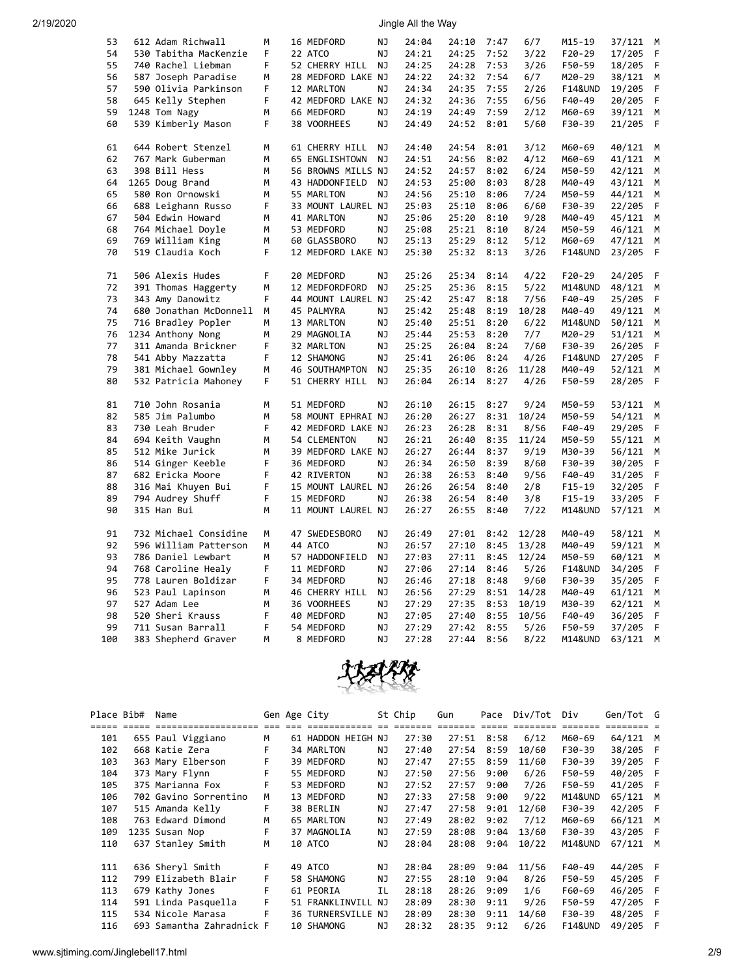| 53  | 612 Adam Richwall      | M  | 16 MEDFORD         | ΝJ        | 24:04 | 24:10 | 7:47 | 6/7   | M15-19             | 37/121 | M  |
|-----|------------------------|----|--------------------|-----------|-------|-------|------|-------|--------------------|--------|----|
| 54  | 530 Tabitha MacKenzie  | F  | 22 ATCO            | ΝJ        | 24:21 | 24:25 | 7:52 | 3/22  | F20-29             | 17/205 | F  |
| 55  | 740 Rachel Liebman     | F  | 52 CHERRY HILL     | NJ        | 24:25 | 24:28 | 7:53 | 3/26  | F50-59             | 18/205 | F  |
| 56  | 587 Joseph Paradise    | M  | 28 MEDFORD LAKE NJ |           | 24:22 | 24:32 | 7:54 | 6/7   | M20-29             | 38/121 | M  |
| 57  | 590 Olivia Parkinson   | F  | 12 MARLTON         | NJ        | 24:34 | 24:35 | 7:55 | 2/26  | <b>F14&amp;UND</b> | 19/205 | F  |
| 58  | 645 Kelly Stephen      | F  | 42 MEDFORD LAKE NJ |           | 24:32 | 24:36 | 7:55 | 6/56  | F40-49             | 20/205 | F. |
| 59  | 1248 Tom Nagy          | M  | 66 MEDFORD         | NJ        | 24:19 | 24:49 | 7:59 | 2/12  | M60-69             | 39/121 | M  |
| 60  | 539 Kimberly Mason     | F. | 38 VOORHEES        | NJ        | 24:49 | 24:52 | 8:01 | 5/60  | F30-39             | 21/205 | F  |
|     |                        |    |                    |           |       |       |      |       |                    |        |    |
| 61  | 644 Robert Stenzel     | M  | 61 CHERRY HILL     | NJ        | 24:40 | 24:54 | 8:01 | 3/12  | M60-69             | 40/121 | M  |
| 62  | 767 Mark Guberman      | M  | 65 ENGLISHTOWN     | <b>NJ</b> | 24:51 | 24:56 | 8:02 | 4/12  | M60-69             | 41/121 | М  |
| 63  | 398 Bill Hess          | M  | 56 BROWNS MILLS NJ |           | 24:52 | 24:57 | 8:02 | 6/24  | M50-59             | 42/121 | М  |
| 64  | 1265 Doug Brand        | М  | 43 HADDONFIELD     | NJ        | 24:53 | 25:00 | 8:03 | 8/28  | M40-49             | 43/121 | М  |
| 65  | 580 Ron Ornowski       | M  | 55 MARLTON         | NJ        | 24:56 | 25:10 | 8:06 | 7/24  | M50-59             | 44/121 | M  |
| 66  | 688 Leighann Russo     | F  | 33 MOUNT LAUREL NJ |           | 25:03 | 25:10 | 8:06 | 6/60  | F30-39             | 22/205 | F  |
| 67  | 504 Edwin Howard       | М  | 41 MARLTON         | ΝJ        | 25:06 | 25:20 | 8:10 | 9/28  | M40-49             | 45/121 | M  |
| 68  | 764 Michael Doyle      | М  | 53 MEDFORD         | NJ        | 25:08 | 25:21 | 8:10 | 8/24  | M50-59             | 46/121 | M  |
| 69  | 769 William King       | М  | 60 GLASSBORO       | NJ        | 25:13 | 25:29 | 8:12 | 5/12  | M60-69             | 47/121 | M  |
| 70  | 519 Claudia Koch       | F  | 12 MEDFORD LAKE NJ |           | 25:30 | 25:32 | 8:13 | 3/26  | <b>F14&amp;UND</b> | 23/205 | F  |
| 71  | 506 Alexis Hudes       | F. | 20 MEDFORD         | NJ        | 25:26 | 25:34 | 8:14 | 4/22  | $F20-29$           | 24/205 | F  |
| 72  | 391 Thomas Haggerty    | М  | 12 MEDFORDFORD     | NJ        | 25:25 | 25:36 | 8:15 | 5/22  | M14&UND            | 48/121 | М  |
| 73  | 343 Amy Danowitz       | F  | 44 MOUNT LAUREL NJ |           | 25:42 | 25:47 | 8:18 | 7/56  | F40-49             | 25/205 | F  |
| 74  | 680 Jonathan McDonnell | M  | 45 PALMYRA         | ΝJ        | 25:42 | 25:48 | 8:19 | 10/28 | M40-49             | 49/121 | M  |
| 75  | 716 Bradley Popler     | М  | 13 MARLTON         | ΝJ        | 25:40 | 25:51 | 8:20 | 6/22  | M14&UND            | 50/121 | M  |
| 76  | 1234 Anthony Nong      | М  | 29 MAGNOLIA        | ΝJ        | 25:44 | 25:53 | 8:20 | 7/7   | M20-29             | 51/121 | М  |
| 77  | 311 Amanda Brickner    | F  | 32 MARLTON         | ΝJ        | 25:25 | 26:04 | 8:24 | 7/60  | F30-39             | 26/205 | F  |
| 78  | 541 Abby Mazzatta      | F  | 12 SHAMONG         | ΝJ        | 25:41 | 26:06 | 8:24 | 4/26  | <b>F14&amp;UND</b> | 27/205 | F  |
| 79  | 381 Michael Gownley    | М  | 46 SOUTHAMPTON     | NJ        | 25:35 | 26:10 | 8:26 | 11/28 | M40-49             | 52/121 | M  |
| 80  | 532 Patricia Mahoney   | F  | 51 CHERRY HILL     | NJ.       | 26:04 | 26:14 | 8:27 | 4/26  | F50-59             | 28/205 | F  |
|     |                        |    |                    |           |       |       |      |       |                    |        |    |
| 81  | 710 John Rosania       | M  | 51 MEDFORD         | NJ        | 26:10 | 26:15 | 8:27 | 9/24  | M50-59             | 53/121 | M  |
| 82  | 585 Jim Palumbo        | М  | 58 MOUNT EPHRAI NJ |           | 26:20 | 26:27 | 8:31 | 10/24 | M50-59             | 54/121 | М  |
| 83  | 730 Leah Bruder        | F  | 42 MEDFORD LAKE NJ |           | 26:23 | 26:28 | 8:31 | 8/56  | F40-49             | 29/205 | F  |
| 84  | 694 Keith Vaughn       | М  | 54 CLEMENTON       | NJ        | 26:21 | 26:40 | 8:35 | 11/24 | M50-59             | 55/121 | М  |
| 85  | 512 Mike Jurick        | M  | 39 MEDFORD LAKE NJ |           | 26:27 | 26:44 | 8:37 | 9/19  | M30-39             | 56/121 | M  |
| 86  | 514 Ginger Keeble      | F  | 36 MEDFORD         | ΝJ        | 26:34 | 26:50 | 8:39 | 8/60  | F30-39             | 30/205 | F  |
| 87  | 682 Ericka Moore       | F  | 42 RIVERTON        | NJ        | 26:38 | 26:53 | 8:40 | 9/56  | F40-49             | 31/205 | F  |
| 88  | 316 Mai Khuyen Bui     | F  | 15 MOUNT LAUREL NJ |           | 26:26 | 26:54 | 8:40 | 2/8   | $F15-19$           | 32/205 | F  |
| 89  | 794 Audrey Shuff       | F  | 15 MEDFORD         | NJ        | 26:38 | 26:54 | 8:40 | 3/8   | F15-19             | 33/205 | F  |
| 90  | 315 Han Bui            | М  | 11 MOUNT LAUREL NJ |           | 26:27 | 26:55 | 8:40 | 7/22  | M14&UND            | 57/121 | M  |
| 91  | 732 Michael Considine  | M  | 47 SWEDESBORO      | NJ        | 26:49 | 27:01 | 8:42 | 12/28 | M40-49             | 58/121 | M  |
| 92  | 596 William Patterson  | M  | 44 ATCO            | NJ        | 26:57 | 27:10 | 8:45 | 13/28 | M40-49             | 59/121 | M  |
| 93  | 786 Daniel Lewbart     | M  | 57 HADDONFIELD     | NJ        | 27:03 | 27:11 | 8:45 | 12/24 | M50-59             | 60/121 | M  |
| 94  | 768 Caroline Healy     | F  | 11 MEDFORD         | NJ        | 27:06 | 27:14 | 8:46 | 5/26  | <b>F14&amp;UND</b> | 34/205 | F  |
| 95  | 778 Lauren Boldizar    | F. | 34 MEDFORD         | NJ        | 26:46 | 27:18 | 8:48 | 9/60  | F30-39             | 35/205 | F  |
| 96  | 523 Paul Lapinson      | М  | 46 CHERRY HILL     | ΝJ        | 26:56 | 27:29 | 8:51 | 14/28 | M40-49             | 61/121 | М  |
| 97  | 527 Adam Lee           | M  | 36 VOORHEES        | ΝJ        | 27:29 | 27:35 | 8:53 | 10/19 | M30-39             | 62/121 | М  |
| 98  | 520 Sheri Krauss       | F  | 40 MEDFORD         | NJ        | 27:05 | 27:40 | 8:55 | 10/56 | F40-49             | 36/205 | F  |
| 99  | 711 Susan Barrall      | F  | 54 MEDFORD         | ΝJ        | 27:29 | 27:42 | 8:55 | 5/26  | F50-59             | 37/205 | F  |
| 100 | 383 Shepherd Graver    | M  | 8 MEDFORD          | NJ        | 27:28 | 27:44 | 8:56 | 8/22  | M14&UND            | 63/121 | M  |
|     |                        |    |                    |           |       |       |      |       |                    |        |    |



| Place Bib# | Name                      |    | Gen Age City       |    | St Chip | Gun   | Pace | Div/Tot | Div                | Gen/Tot G |    |
|------------|---------------------------|----|--------------------|----|---------|-------|------|---------|--------------------|-----------|----|
|            |                           |    |                    |    |         |       |      |         |                    |           |    |
| 101        | 655 Paul Viggiano         | М  | 61 HADDON HEIGH NJ |    | 27:30   | 27:51 | 8:58 | 6/12    | M60-69             | 64/121 M  |    |
| 102        | 668 Katie Zera            | F  | 34 MARLTON         | ΝJ | 27:40   | 27:54 | 8:59 | 10/60   | F30-39             | 38/205    | -F |
| 103        | 363 Mary Elberson         | F  | 39 MEDFORD         | ΝJ | 27:47   | 27:55 | 8:59 | 11/60   | F30-39             | 39/205 F  |    |
| 104        | 373 Mary Flynn            | F  | 55 MEDFORD         | ΝJ | 27:50   | 27:56 | 9:00 | 6/26    | F50-59             | 40/205 F  |    |
| 105        | 375 Marianna Fox          | F  | 53 MEDFORD         | ΝJ | 27:52   | 27:57 | 9:00 | 7/26    | F50-59             | 41/205 F  |    |
| 106        | 702 Gavino Sorrentino     | м  | 13 MEDFORD         | ΝJ | 27:33   | 27:58 | 9:00 | 9/22    | M14&UND            | 65/121 M  |    |
| 107        | 515 Amanda Kelly          | F  | 38 BERLIN          | ΝJ | 27:47   | 27:58 | 9:01 | 12/60   | F30-39             | 42/205 F  |    |
| 108        | 763 Edward Dimond         | М  | 65 MARLTON         | ΝJ | 27:49   | 28:02 | 9:02 | 7/12    | M60-69             | 66/121 M  |    |
| 109        | 1235 Susan Nop            | F  | 37 MAGNOLIA        | ΝJ | 27:59   | 28:08 | 9:04 | 13/60   | F30-39             | 43/205 F  |    |
| 110        | 637 Stanley Smith         | м  | 10 ATCO            | ΝJ | 28:04   | 28:08 | 9:04 | 10/22   | <b>M14&amp;UND</b> | 67/121 M  |    |
|            |                           |    |                    |    |         |       |      |         |                    |           |    |
| 111        | 636 Sheryl Smith          | F  | 49 ATCO            | ΝJ | 28:04   | 28:09 | 9:04 | 11/56   | F40-49             | 44/205 F  |    |
| 112        | 799 Elizabeth Blair       | F  | 58 SHAMONG         | NJ | 27:55   | 28:10 | 9:04 | 8/26    | F50-59             | 45/205 F  |    |
| 113        | 679 Kathy Jones           |    | 61 PEORIA          | ΙL | 28:18   | 28:26 | 9:09 | 1/6     | F60-69             | 46/205    | E  |
| 114        | 591 Linda Pasquella       | F. | 51 FRANKLINVILL NJ |    | 28:09   | 28:30 | 9:11 | 9/26    | F50-59             | 47/205    | E  |
| 115        | 534 Nicole Marasa         | F  | 36 TURNERSVILLE NJ |    | 28:09   | 28:30 | 9:11 | 14/60   | F30-39             | 48/205    | F  |
| 116        | 693 Samantha Zahradnick F |    | 10 SHAMONG         | ΝJ | 28:32   | 28:35 | 9:12 | 6/26    | <b>F14&amp;UND</b> | 49/205    | F  |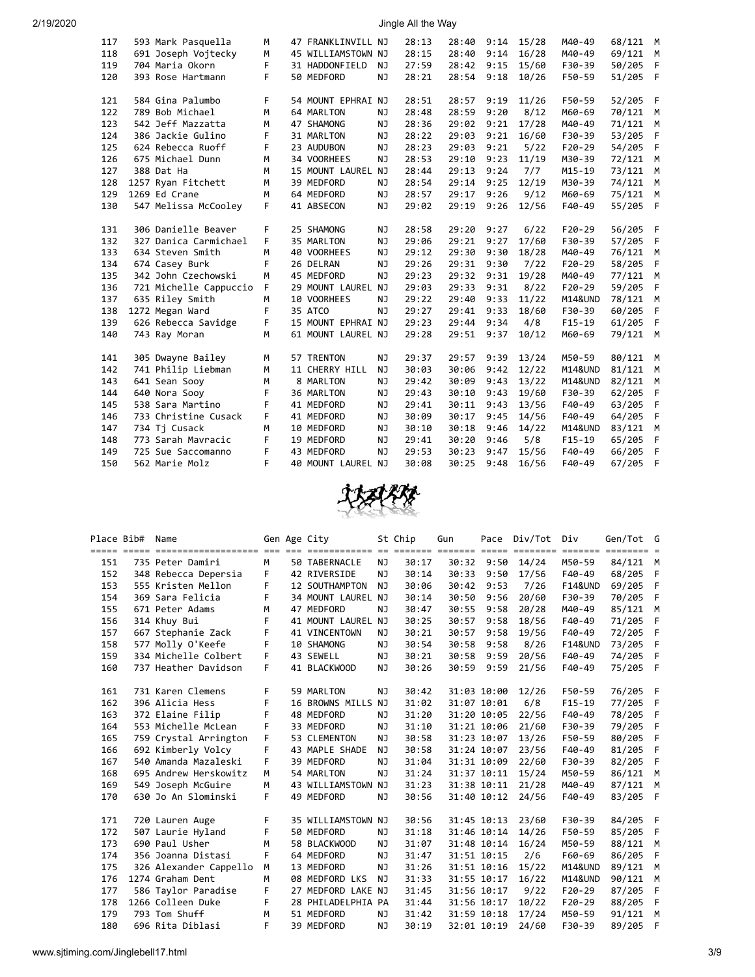| 117 | 593 Mark Pasquella     | M  | 47 FRANKLINVILL NJ |           | 28:13 | 28:40 9:14 |      | 15/28 | M40-49             | 68/121 M |     |
|-----|------------------------|----|--------------------|-----------|-------|------------|------|-------|--------------------|----------|-----|
| 118 | 691 Joseph Voitecky    | M  | 45 WILLIAMSTOWN NJ |           | 28:15 | 28:40      | 9:14 | 16/28 | M40-49             | 69/121   | M   |
| 119 | 704 Maria Okorn        | F  | 31 HADDONFIELD     | <b>NJ</b> | 27:59 | 28:42      | 9:15 | 15/60 | F30-39             | 50/205   | F   |
| 120 | 393 Rose Hartmann      | F  | 50 MEDFORD         | NJ        | 28:21 | 28:54      | 9:18 | 10/26 | F50-59             | 51/205   | F   |
|     |                        |    |                    |           |       |            |      |       |                    |          |     |
| 121 | 584 Gina Palumbo       | F  | 54 MOUNT EPHRAI NJ |           | 28:51 | 28:57      | 9:19 | 11/26 | F50-59             | 52/205   | - F |
| 122 | 789 Bob Michael        | M  | 64 MARLTON         | NJ        | 28:48 | 28:59      | 9:20 | 8/12  | M60-69             | 70/121   | M   |
| 123 | 542 Jeff Mazzatta      | M  | 47 SHAMONG         | <b>NJ</b> | 28:36 | 29:02      | 9:21 | 17/28 | M40-49             | 71/121   | M   |
| 124 | 386 Jackie Gulino      | F  | 31 MARLTON         | NJ        | 28:22 | 29:03      | 9:21 | 16/60 | F30-39             | 53/205   | F   |
| 125 | 624 Rebecca Ruoff      | F  | 23 AUDUBON         | NJ        | 28:23 | 29:03      | 9:21 | 5/22  | $F20-29$           | 54/205   | F   |
| 126 | 675 Michael Dunn       | M  | 34 VOORHEES        | <b>NJ</b> | 28:53 | 29:10      | 9:23 | 11/19 | M30-39             | 72/121   | M   |
| 127 | 388 Dat Ha             | M  | 15 MOUNT LAUREL NJ |           | 28:44 | 29:13      | 9:24 | 7/7   | $M15 - 19$         | 73/121   | M   |
| 128 | 1257 Ryan Fitchett     | M  | 39 MEDFORD         | <b>NJ</b> | 28:54 | 29:14      | 9:25 | 12/19 | M30-39             | 74/121   | M   |
| 129 | 1269 Ed Crane          | M  | 64 MEDFORD         | NJ        | 28:57 | 29:17      | 9:26 | 9/12  | M60-69             | 75/121   | M   |
| 130 | 547 Melissa McCooley   | F. | 41 ABSECON         | NJ        | 29:02 | 29:19      | 9:26 | 12/56 | F40-49             | 55/205   | - F |
|     |                        |    |                    |           |       |            |      |       |                    |          |     |
| 131 | 306 Danielle Beaver    | F  | 25 SHAMONG         | <b>NJ</b> | 28:58 | 29:20      | 9:27 | 6/22  | $F20-29$           | 56/205   | - F |
| 132 | 327 Danica Carmichael  | F. | 35 MARLTON         | <b>NJ</b> | 29:06 | 29:21      | 9:27 | 17/60 | F30-39             | 57/205   | F   |
| 133 | 634 Steven Smith       | M  | 40 VOORHEES        | <b>NJ</b> | 29:12 | 29:30      | 9:30 | 18/28 | M40-49             | 76/121   | M   |
| 134 | 674 Casey Burk         | F  | 26 DELRAN          | NJ        | 29:26 | 29:31      | 9:30 | 7/22  | $F20-29$           | 58/205   | F   |
| 135 | 342 John Czechowski    | M  | 45 MEDFORD         | <b>NJ</b> | 29:23 | 29:32      | 9:31 | 19/28 | M40-49             | 77/121   | M   |
| 136 | 721 Michelle Cappuccio | F  | 29 MOUNT LAUREL NJ |           | 29:03 | 29:33      | 9:31 | 8/22  | $F20-29$           | 59/205   | F   |
| 137 | 635 Riley Smith        | M  | 10 VOORHEES        | <b>NJ</b> | 29:22 | 29:40      | 9:33 | 11/22 | M14&UND            | 78/121   | M   |
| 138 | 1272 Megan Ward        | F  | 35 ATCO            | NJ        | 29:27 | 29:41      | 9:33 | 18/60 | F30-39             | 60/205   | F   |
| 139 | 626 Rebecca Savidge    | F  | 15 MOUNT EPHRAI NJ |           | 29:23 | 29:44      | 9:34 | 4/8   | $F15-19$           | 61/205   | F   |
| 140 | 743 Ray Moran          | M  | 61 MOUNT LAUREL NJ |           | 29:28 | 29:51      | 9:37 | 10/12 | M60-69             | 79/121   | M   |
|     |                        |    |                    |           |       |            |      |       |                    |          |     |
| 141 | 305 Dwayne Bailey      | M  | 57 TRENTON         | NJ        | 29:37 | 29:57      | 9:39 | 13/24 | M50-59             | 80/121   | M   |
| 142 | 741 Philip Liebman     | M  | 11 CHERRY HILL     | <b>NJ</b> | 30:03 | 30:06      | 9:42 | 12/22 | <b>M14&amp;UND</b> | 81/121   | M   |
| 143 | 641 Sean Sooy          | M  | 8 MARLTON          | <b>NJ</b> | 29:42 | 30:09      | 9:43 | 13/22 | M14&UND            | 82/121   | M   |
| 144 | 640 Nora Sooy          | F  | 36 MARLTON         | NJ        | 29:43 | 30:10      | 9:43 | 19/60 | F30-39             | 62/205   | F   |
| 145 | 538 Sara Martino       | F  | 41 MEDFORD         | <b>NJ</b> | 29:41 | 30:11      | 9:43 | 13/56 | F40-49             | 63/205   | F   |
| 146 | 733 Christine Cusack   | F  | 41 MEDFORD         | <b>NJ</b> | 30:09 | 30:17      | 9:45 | 14/56 | F40-49             | 64/205   | F   |
| 147 | 734 Tj Cusack          | м  | 10 MEDFORD         | <b>NJ</b> | 30:10 | 30:18      | 9:46 | 14/22 | M14&UND            | 83/121   | М   |
| 148 | 773 Sarah Mayracic     | F  | 19 MEDFORD         | <b>NJ</b> | 29:41 | 30:20      | 9:46 | 5/8   | $F15-19$           | 65/205   | F   |
| 149 | 725 Sue Saccomanno     | F  | 43 MEDFORD         | NJ        | 29:53 | 30:23      | 9:47 | 15/56 | F40-49             | 66/205   | F   |
| 150 | 562 Marie Molz         | F  | 40 MOUNT LAUREL NJ |           | 30:08 | 30:25      | 9:48 | 16/56 | F40-49             | 67/205   | F   |
|     |                        |    |                    |           |       |            |      |       |                    |          |     |



| Place Bib# | Name                   |    | Gen Age City       |           | St Chip | Gun         | Pace        | Div/Tot | Div                | Gen/Tot G               |      |
|------------|------------------------|----|--------------------|-----------|---------|-------------|-------------|---------|--------------------|-------------------------|------|
|            |                        |    |                    |           |         |             |             |         |                    | $=$ $=$ $=$ $=$ $=$ $=$ |      |
| 151        | 735 Peter Damiri       | M  | 50 TABERNACLE      | NJ        | 30:17   |             | 30:32 9:50  | 14/24   | M50-59             | 84/121 M                |      |
| 152        | 348 Rebecca Depersia   | F  | 42 RIVERSIDE       | NJ        | 30:14   | 30:33       | 9:50        | 17/56   | F40-49             | 68/205                  | - F  |
| 153        | 555 Kristen Mellon     | F  | 12 SOUTHAMPTON     | NJ        | 30:06   | 30:42       | 9:53        | 7/26    | <b>F14&amp;UND</b> | 69/205                  | F    |
| 154        | 369 Sara Felicia       | F  | 34 MOUNT LAUREL NJ |           | 30:14   | 30:50       | 9:56        | 20/60   | F30-39             | 70/205                  | F    |
| 155        | 671 Peter Adams        | M  | 47 MEDFORD         | NJ        | 30:47   | 30:55       | 9:58        | 20/28   | M40-49             | 85/121 M                |      |
| 156        | 314 Khuy Bui           | F  | 41 MOUNT LAUREL NJ |           | 30:25   | 30:57       | 9:58        | 18/56   | F40-49             | 71/205                  | - F  |
| 157        | 667 Stephanie Zack     | F  | 41 VINCENTOWN      | NJ        | 30:21   | 30:57       | 9:58        | 19/56   | F40-49             | 72/205                  | F    |
| 158        | 577 Molly O'Keefe      | F  | 10 SHAMONG         | NJ        | 30:54   | 30:58       | 9:58        | 8/26    | <b>F14&amp;UND</b> | 73/205                  | F    |
| 159        | 334 Michelle Colbert   | F. | 43 SEWELL          | NJ.       | 30:21   | 30:58       | 9:59        | 20/56   | F40-49             | 74/205                  | - F  |
| 160        | 737 Heather Davidson   | F. | 41 BLACKWOOD       | <b>NJ</b> | 30:26   | 30:59       | 9:59        | 21/56   | F40-49             | 75/205 F                |      |
|            |                        |    |                    |           |         |             |             |         |                    |                         |      |
| 161        | 731 Karen Clemens      | F  | 59 MARLTON         | NJ        | 30:42   |             | 31:03 10:00 | 12/26   | F50-59             | 76/205 F                |      |
| 162        | 396 Alicia Hess        | F  | 16 BROWNS MILLS NJ |           | 31:02   | 31:07 10:01 |             | 6/8     | $F15-19$           | 77/205                  | - F  |
| 163        | 372 Elaine Filip       | F  | 48 MEDFORD         | NJ.       | 31:20   |             | 31:20 10:05 | 22/56   | F40-49             | 78/205                  | F    |
| 164        | 553 Michelle McLean    | F  | 33 MEDFORD         | NJ        | 31:10   |             | 31:21 10:06 | 21/60   | F30-39             | 79/205                  | F    |
| 165        | 759 Crystal Arrington  | F  | 53 CLEMENTON       | NJ        | 30:58   |             | 31:23 10:07 | 13/26   | F50-59             | 80/205 F                |      |
| 166        | 692 Kimberly Volcy     | F  | 43 MAPLE SHADE     | ΝJ        | 30:58   |             | 31:24 10:07 | 23/56   | F40-49             | 81/205                  | $-F$ |
| 167        | 540 Amanda Mazaleski   | F  | 39 MEDFORD         | NJ        | 31:04   |             | 31:31 10:09 | 22/60   | F30-39             | 82/205 F                |      |
| 168        | 695 Andrew Herskowitz  | M  | 54 MARLTON         | NJ        | 31:24   |             | 31:37 10:11 | 15/24   | M50-59             | 86/121                  | M    |
| 169        | 549 Joseph McGuire     | M  | 43 WILLIAMSTOWN NJ |           | 31:23   |             | 31:38 10:11 | 21/28   | M40-49             | 87/121                  | M    |
| 170        | 630 Jo An Slominski    | F. | 49 MEDFORD         | ΝJ        | 30:56   |             | 31:40 10:12 | 24/56   | F40-49             | 83/205 F                |      |
|            |                        |    |                    |           |         |             |             |         |                    |                         |      |
| 171        | 720 Lauren Auge        | F  | 35 WILLIAMSTOWN NJ |           | 30:56   |             | 31:45 10:13 | 23/60   | F30-39             | 84/205 F                |      |
| 172        | 507 Laurie Hyland      | F  | 50 MEDFORD         | NJ        | 31:18   |             | 31:46 10:14 | 14/26   | F50-59             | 85/205                  | - F  |
| 173        | 690 Paul Usher         | M  | 58 BLACKWOOD       | NJ        | 31:07   |             | 31:48 10:14 | 16/24   | M50-59             | 88/121                  | M    |
| 174        | 356 Joanna Distasi     | F. | 64 MEDFORD         | NJ        | 31:47   |             | 31:51 10:15 | 2/6     | F60-69             | 86/205                  | - F  |
| 175        | 326 Alexander Cappello | M  | 13 MEDFORD         | NJ.       | 31:26   |             | 31:51 10:16 | 15/22   | <b>M14&amp;UND</b> | 89/121 M                |      |
| 176        | 1274 Graham Dent       | M  | 08 MEDFORD LKS     | NJ        | 31:33   |             | 31:55 10:17 | 16/22   | <b>M14&amp;UND</b> | 90/121                  | M    |
| 177        | 586 Taylor Paradise    | F. | 27 MEDFORD LAKE NJ |           | 31:45   |             | 31:56 10:17 | 9/22    | $F20-29$           | 87/205                  | F    |
| 178        | 1266 Colleen Duke      | F  | 28 PHILADELPHIA PA |           | 31:44   |             | 31:56 10:17 | 10/22   | $F20-29$           | 88/205                  | F    |
| 179        | 793 Tom Shuff          | M  | 51 MEDFORD         | NJ        | 31:42   |             | 31:59 10:18 | 17/24   | M50-59             | 91/121                  | M    |
| 180        | 696 Rita Diblasi       | F  | 39 MEDFORD         | NJ        | 30:19   |             | 32:01 10:19 | 24/60   | F30-39             | 89/205                  | - F  |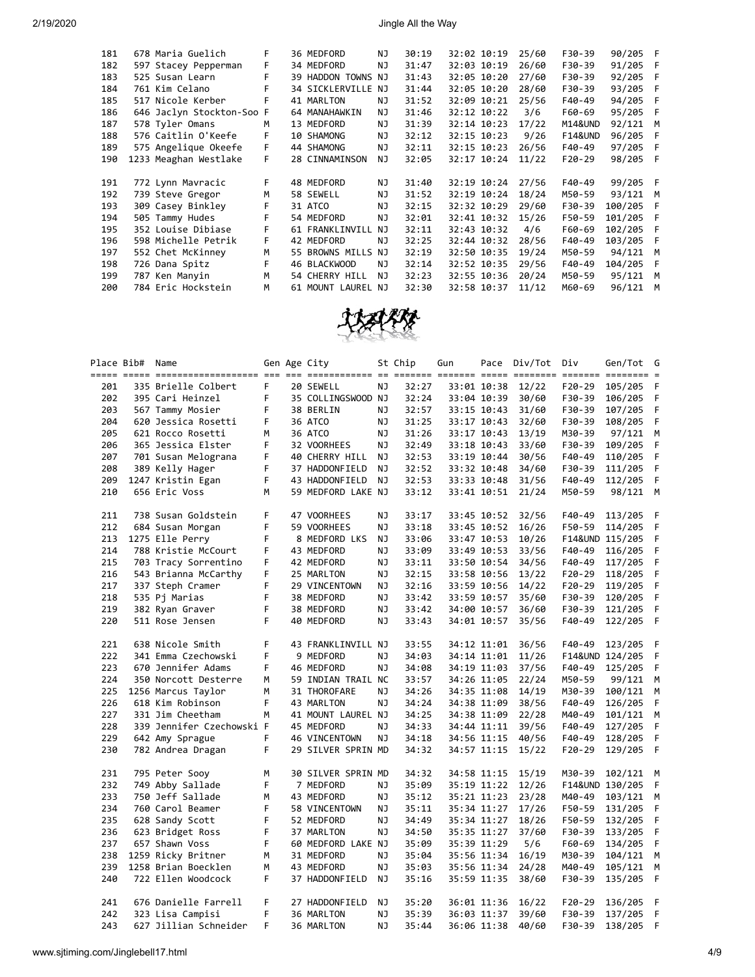| 181 | 678 Maria Guelich         | F  | 36 MEDFORD      | NJ  | 30:19 | 32:02 10:19 |             | 25/60 | F30-39             | 90/205 F  |     |
|-----|---------------------------|----|-----------------|-----|-------|-------------|-------------|-------|--------------------|-----------|-----|
| 182 | 597 Stacey Pepperman      | F. | 34 MEDFORD      | NJ  | 31:47 |             | 32:03 10:19 | 26/60 | F30-39             | 91/205 F  |     |
| 183 | 525 Susan Learn           | F  | 39 HADDON TOWNS | NJ  | 31:43 |             | 32:05 10:20 | 27/60 | F30-39             | 92/205    | - F |
| 184 | 761 Kim Celano            | F  | 34 SICKLERVILLE | NJ. | 31:44 |             | 32:05 10:20 | 28/60 | F30-39             | 93/205 F  |     |
| 185 | 517 Nicole Kerber         | F  | 41 MARLTON      | NJ  | 31:52 |             | 32:09 10:21 | 25/56 | F40-49             | 94/205 F  |     |
| 186 | 646 Jaclyn Stockton-Soo F |    | 64 MANAHAWKIN   | NJ  | 31:46 |             | 32:12 10:22 | 3/6   | F60-69             | 95/205 F  |     |
| 187 | 578 Tyler Omans           | M  | 13 MEDFORD      | NJ  | 31:39 |             | 32:14 10:23 | 17/22 | <b>M14&amp;UND</b> | 92/121    | M   |
| 188 | 576 Caitlin O'Keefe       | F  | 10 SHAMONG      | NJ  | 32:12 |             | 32:15 10:23 | 9/26  | <b>F14&amp;UND</b> | 96/205    | - F |
| 189 | 575 Angelique Okeefe      | F. | 44 SHAMONG      | NJ  | 32:11 | 32:15 10:23 |             | 26/56 | F40-49             | 97/205 F  |     |
| 190 | 1233 Meaghan Westlake     | F. | 28 CINNAMINSON  | NJ  | 32:05 |             | 32:17 10:24 | 11/22 | $F20-29$           | 98/205 F  |     |
|     |                           |    |                 |     |       |             |             |       |                    |           |     |
| 191 | 772 Lynn Mavracic         | F  | 48 MEDFORD      | NJ  | 31:40 |             | 32:19 10:24 | 27/56 | F40-49             | 99/205 F  |     |
| 192 | 739 Steve Gregor          | м  | 58 SEWELL       | NJ  | 31:52 |             | 32:19 10:24 | 18/24 | M50-59             | 93/121    | M   |
| 193 | 309 Casey Binkley         | F  | 31 ATCO         | NJ  | 32:15 |             | 32:32 10:29 | 29/60 | F30-39             | 100/205   | - F |
| 194 | 505 Tammy Hudes           |    | 54 MEDFORD      | NJ  | 32:01 |             | 32:41 10:32 | 15/26 | F50-59             | 101/205 F |     |
| 195 | 352 Louise Dibiase        |    | 61 FRANKLINVILL | NJ  | 32:11 |             | 32:43 10:32 | 4/6   | F60-69             | 102/205 F |     |
| 196 | 598 Michelle Petrik       | F. | 42 MEDFORD      | NJ  | 32:25 |             | 32:44 10:32 | 28/56 | F40-49             | 103/205   | - F |
| 197 | 552 Chet McKinney         | M  | 55 BROWNS MILLS | NJ  | 32:19 |             | 32:50 10:35 | 19/24 | M50-59             | 94/121    | M   |
| 198 | 726 Dana Spitz            | F  | 46 BLACKWOOD    | ΝJ  | 32:14 |             | 32:52 10:35 | 29/56 | F40-49             | 104/205   | F   |
| 199 | 787 Ken Manyin            | м  | 54 CHERRY HILL  | ΝJ  | 32:23 |             | 32:55 10:36 | 20/24 | M50-59             | 95/121    | M   |
|     |                           |    |                 |     |       |             |             |       |                    |           |     |



|     | Place Bib# Name |                           |    | Gen Age City       |           | St Chip | Gun         |             | Pace Div/Tot Div |          | Gen/Tot G       |     |
|-----|-----------------|---------------------------|----|--------------------|-----------|---------|-------------|-------------|------------------|----------|-----------------|-----|
|     |                 |                           |    |                    |           |         |             |             |                  |          |                 |     |
| 201 |                 | 335 Brielle Colbert       | F. | 20 SEWELL          | NJ.       | 32:27   |             | 33:01 10:38 | 12/22            | $F20-29$ | 105/205         | F   |
| 202 |                 | 395 Cari Heinzel          | F. | 35 COLLINGSWOOD NJ |           | 32:24   |             | 33:04 10:39 | 30/60            | F30-39   | 106/205         | F   |
| 203 |                 | 567 Tammy Mosier          | F. | 38 BERLIN          | ΝJ        | 32:57   |             | 33:15 10:43 | 31/60            | F30-39   | 107/205         | F   |
| 204 |                 | 620 Jessica Rosetti       | F  | 36 ATCO            | NJ        | 31:25   |             | 33:17 10:43 | 32/60            | F30-39   | 108/205         | F   |
| 205 |                 | 621 Rocco Rosetti         | м  | 36 ATCO            | ΝJ        | 31:26   |             | 33:17 10:43 | 13/19            | M30-39   | 97/121          | М   |
| 206 |                 | 365 Jessica Elster        | F  | 32 VOORHEES        | ΝJ        | 32:49   |             | 33:18 10:43 | 33/60            | F30-39   | 109/205         | F   |
| 207 |                 | 701 Susan Melograna       | F  | 40 CHERRY HILL     | ΝJ        | 32:53   |             | 33:19 10:44 | 30/56            | F40-49   | 110/205         | F   |
| 208 |                 | 389 Kelly Hager           | F  | 37 HADDONFIELD     | ΝJ        | 32:52   |             | 33:32 10:48 | 34/60            | F30-39   | 111/205 F       |     |
| 209 |                 | 1247 Kristin Egan         | F  | 43 HADDONFIELD     | NJ        | 32:53   |             | 33:33 10:48 | 31/56            | F40-49   | 112/205         | F   |
| 210 |                 | 656 Eric Voss             | M  | 59 MEDFORD LAKE NJ |           | 33:12   |             | 33:41 10:51 | 21/24            | M50-59   | 98/121 M        |     |
|     |                 |                           |    |                    |           |         |             |             |                  |          |                 |     |
| 211 |                 | 738 Susan Goldstein       | F  | 47 VOORHEES        | ΝJ        | 33:17   |             | 33:45 10:52 | 32/56            | F40-49   | 113/205         | F   |
| 212 |                 | 684 Susan Morgan          | F  | 59 VOORHEES        | <b>NJ</b> | 33:18   |             | 33:45 10:52 | 16/26            | F50-59   | 114/205         | F   |
| 213 |                 | 1275 Elle Perry           | F  | 8 MEDFORD LKS      | ΝJ        | 33:06   |             | 33:47 10:53 | 10/26            |          | F14&UND 115/205 | F   |
| 214 |                 | 788 Kristie McCourt       | F  | 43 MEDFORD         | ΝJ        | 33:09   |             | 33:49 10:53 | 33/56            | F40-49   | 116/205         | F   |
| 215 |                 | 703 Tracy Sorrentino      | F  | 42 MEDFORD         | ΝJ        | 33:11   |             | 33:50 10:54 | 34/56            | F40-49   | 117/205         | F   |
| 216 |                 | 543 Brianna McCarthy      | F  | 25 MARLTON         | ΝJ        | 32:15   |             | 33:58 10:56 | 13/22            | F20-29   | 118/205         | F   |
| 217 |                 | 337 Steph Cramer          | F  | 29 VINCENTOWN      | ΝJ        | 32:16   |             | 33:59 10:56 | 14/22            | F20-29   | 119/205         | F   |
| 218 |                 | 535 Pj Marias             | F  | 38 MEDFORD         | NJ        | 33:42   |             | 33:59 10:57 | 35/60            | F30-39   | 120/205         | F   |
| 219 |                 | 382 Ryan Graver           | F  | 38 MEDFORD         | ΝJ        | 33:42   |             | 34:00 10:57 | 36/60            | F30-39   | 121/205         | F   |
| 220 |                 | 511 Rose Jensen           | F  | 40 MEDFORD         | ΝJ        | 33:43   |             | 34:01 10:57 | 35/56            | F40-49   | 122/205         | - F |
|     |                 |                           |    |                    |           |         |             |             |                  |          |                 |     |
| 221 |                 | 638 Nicole Smith          | F  | 43 FRANKLINVILL NJ |           | 33:55   |             | 34:12 11:01 | 36/56            | F40-49   | 123/205         | - F |
| 222 |                 | 341 Emma Czechowski       | F  | 9 MEDFORD          | ΝJ        | 34:03   |             | 34:14 11:01 | 11/26            |          | F14&UND 124/205 | F   |
| 223 |                 | 670 Jennifer Adams        | F. | 46 MEDFORD         | ΝJ        | 34:08   |             | 34:19 11:03 | 37/56            | F40-49   | 125/205         | F   |
| 224 |                 | 350 Norcott Desterre      | м  | 59 INDIAN TRAIL NC |           | 33:57   |             | 34:26 11:05 | 22/24            | M50-59   | 99/121          | М   |
| 225 |                 | 1256 Marcus Taylor        | M  | 31 THOROFARE       | ΝJ        | 34:26   |             | 34:35 11:08 | 14/19            | M30-39   | 100/121 M       |     |
| 226 |                 | 618 Kim Robinson          | F  | 43 MARLTON         | ΝJ        | 34:24   |             | 34:38 11:09 | 38/56            | F40-49   | 126/205         | F   |
| 227 |                 | 331 Jim Cheetham          | M  | 41 MOUNT LAUREL NJ |           | 34:25   |             | 34:38 11:09 | 22/28            | M40-49   | 101/121         | М   |
| 228 |                 | 339 Jennifer Czechowski F |    | 45 MEDFORD         | ΝJ        | 34:33   |             | 34:44 11:11 | 39/56            | F40-49   | 127/205         | F   |
| 229 |                 | 642 Amy Sprague           | F  | 46 VINCENTOWN      | NJ        | 34:18   |             | 34:56 11:15 | 40/56            | F40-49   | 128/205         | F   |
| 230 |                 | 782 Andrea Dragan         | F  | 29 SILVER SPRIN MD |           | 34:32   |             | 34:57 11:15 | 15/22            | $F20-29$ | 129/205         | - F |
|     |                 |                           |    |                    |           |         |             |             |                  |          |                 |     |
| 231 |                 | 795 Peter Sooy            | M  | 30 SILVER SPRIN MD |           | 34:32   | 34:58 11:15 |             | 15/19            | M30-39   | 102/121         | M   |
| 232 |                 | 749 Abby Sallade          | F  | 7 MEDFORD          | NJ        | 35:09   |             | 35:19 11:22 | 12/26            |          | F14&UND 130/205 | F   |
| 233 |                 | 750 Jeff Sallade          | M  | 43 MEDFORD         | ΝJ        | 35:12   |             | 35:21 11:23 | 23/28            | M40-49   | 103/121         | М   |
| 234 |                 | 760 Carol Beamer          | F  | 58 VINCENTOWN      | ΝJ        | 35:11   |             | 35:34 11:27 | 17/26            | F50-59   | 131/205         | F   |
| 235 |                 | 628 Sandy Scott           | F  | 52 MEDFORD         | ΝJ        | 34:49   |             | 35:34 11:27 | 18/26            | F50-59   | 132/205         | F   |
| 236 |                 | 623 Bridget Ross          | F  | 37 MARLTON         | ΝJ        | 34:50   |             | 35:35 11:27 | 37/60            | F30-39   | 133/205         | F   |
| 237 |                 | 657 Shawn Voss            | F  | 60 MEDFORD LAKE NJ |           | 35:09   |             | 35:39 11:29 | 5/6              | F60-69   | 134/205         | F.  |
| 238 |                 | 1259 Ricky Britner        | М  | 31 MEDFORD         | ΝJ        | 35:04   |             | 35:56 11:34 | 16/19            | M30-39   | 104/121 M       |     |
| 239 |                 | 1258 Brian Boecklen       | М  | 43 MEDFORD         | ΝJ        | 35:03   |             | 35:56 11:34 | 24/28            | M40-49   | 105/121 M       |     |
| 240 |                 | 722 Ellen Woodcock        | F. | 37 HADDONFIELD     | ΝJ        | 35:16   |             | 35:59 11:35 | 38/60            | F30-39   | 135/205         | - F |
|     |                 |                           |    |                    |           |         |             |             |                  |          |                 |     |
| 241 |                 | 676 Danielle Farrell      | F  | 27 HADDONFIELD     | NJ        | 35:20   |             | 36:01 11:36 | 16/22            | $F20-29$ | 136/205         | F   |
| 242 |                 | 323 Lisa Campisi          | F  | 36 MARLTON         | NJ        | 35:39   |             | 36:03 11:37 | 39/60            | F30-39   | 137/205         | F   |
| 243 |                 | 627 Jillian Schneider     | F  | 36 MARLTON         | NJ        | 35:44   |             | 36:06 11:38 | 40/60            | F30-39   | 138/205         | F   |
|     |                 |                           |    |                    |           |         |             |             |                  |          |                 |     |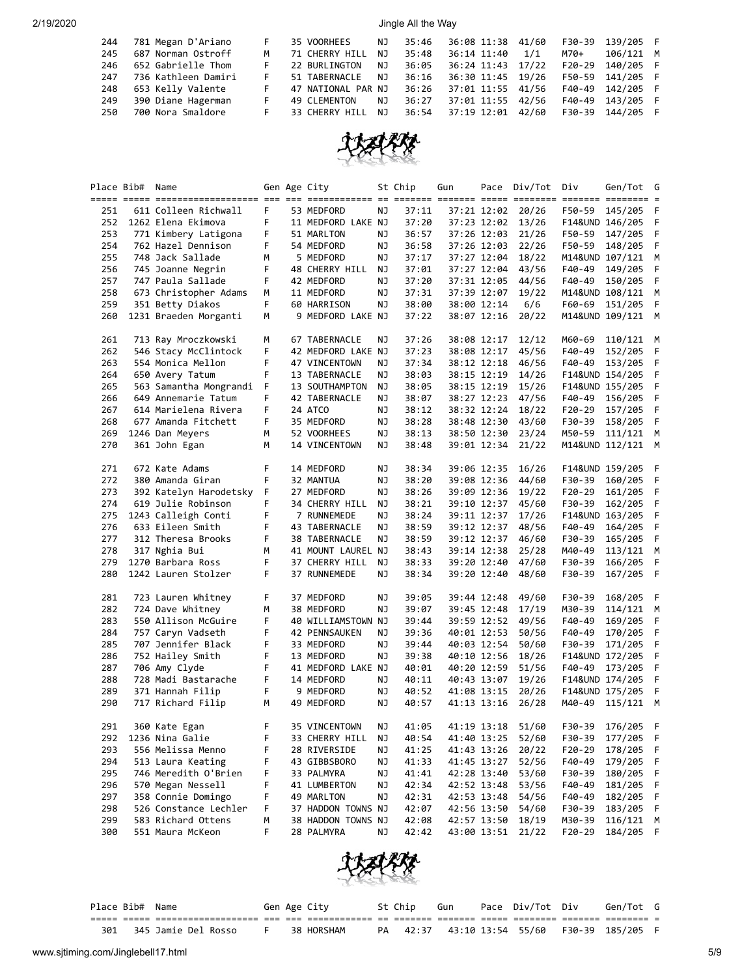| 244 | 781 Megan D'Ariano  | F. | 35 VOORHEES        | NJ  |       | 35:46 36:08 11:38 41/60 |       |          | F30-39 139/205 F |  |
|-----|---------------------|----|--------------------|-----|-------|-------------------------|-------|----------|------------------|--|
| 245 | 687 Norman Ostroff  | M  | 71 CHERRY HILL     | NJ. | 35:48 | 36:14 11:40             | 1/1   | $M70+$   | 106/121 M        |  |
| 246 | 652 Gabrielle Thom  | F. | 22 BURLINGTON      | NJ  |       | 36:05 36:24 11:43       | 17/22 | $F20-29$ | 140/205 F        |  |
| 247 | 736 Kathleen Damiri | F. | 51 TABERNACLE      | NJ  |       | 36:16 36:30 11:45 19/26 |       |          | F50-59 141/205 F |  |
| 248 | 653 Kelly Valente   | F  | 47 NATIONAL PAR NJ |     |       | 36:26 37:01 11:55 41/56 |       |          | F40-49 142/205 F |  |
| 249 | 390 Diane Hagerman  | F. | 49 CLEMENTON       | NJ  | 36:27 | 37:01 11:55 42/56       |       | F40-49   | 143/205 F        |  |
| 250 | 700 Nora Smaldore   | F. | 33 CHERRY HILL     | NJ. | 36:54 | 37:19 12:01             | 42/60 |          | F30-39 144/205 F |  |



|     | Place Bib# | Name                   |   | Gen Age City       |    | St Chip | Gun         |             | Pace Div/Tot | Div      | Gen/Tot           | G   |
|-----|------------|------------------------|---|--------------------|----|---------|-------------|-------------|--------------|----------|-------------------|-----|
|     |            |                        |   |                    |    |         |             |             |              |          |                   |     |
| 251 |            | 611 Colleen Richwall   | F | 53 MEDFORD         | ΝJ | 37:11   |             | 37:21 12:02 | 20/26        | F50-59   | 145/205           | F   |
| 252 |            | 1262 Elena Ekimova     | F | 11 MEDFORD LAKE NJ |    | 37:20   |             | 37:23 12:02 | 13/26        |          | F14&UND 146/205   | F   |
| 253 |            | 771 Kimbery Latigona   | F | 51 MARLTON         | ΝJ | 36:57   |             | 37:26 12:03 | 21/26        | F50-59   | 147/205           | F   |
| 254 |            | 762 Hazel Dennison     | F | 54 MEDFORD         | ΝJ | 36:58   |             | 37:26 12:03 | 22/26        | F50-59   | 148/205           | F   |
| 255 |            | 748 Jack Sallade       | М | 5 MEDFORD          | ΝJ | 37:17   |             | 37:27 12:04 | 18/22        |          | M14&UND 107/121   | M   |
| 256 |            | 745 Joanne Negrin      | F | 48 CHERRY HILL     | ΝJ | 37:01   |             | 37:27 12:04 | 43/56        | F40-49   | 149/205           | F   |
| 257 |            | 747 Paula Sallade      | F | 42 MEDFORD         | ΝJ | 37:20   |             | 37:31 12:05 | 44/56        | F40-49   | 150/205           | F   |
| 258 |            | 673 Christopher Adams  | м | 11 MEDFORD         | ΝJ | 37:31   |             | 37:39 12:07 | 19/22        |          | M14&UND 108/121   | М   |
| 259 |            | 351 Betty Diakos       | F | 60 HARRISON        | ΝJ | 38:00   |             | 38:00 12:14 | 6/6          | F60-69   | 151/205           | F   |
| 260 |            | 1231 Braeden Morganti  | М | 9 MEDFORD LAKE NJ  |    | 37:22   |             | 38:07 12:16 | 20/22        |          | M14&UND 109/121 M |     |
|     |            |                        |   |                    |    |         |             |             |              |          |                   |     |
| 261 |            | 713 Ray Mroczkowski    | м | 67 TABERNACLE      | ΝJ | 37:26   |             | 38:08 12:17 | 12/12        | M60-69   | $110/121$ M       |     |
| 262 |            | 546 Stacy McClintock   | F | 42 MEDFORD LAKE NJ |    | 37:23   |             | 38:08 12:17 | 45/56        | F40-49   | 152/205           | F   |
| 263 |            | 554 Monica Mellon      | F | 47 VINCENTOWN      | ΝJ | 37:34   |             | 38:12 12:18 | 46/56        | F40-49   | 153/205           | F   |
| 264 |            | 650 Avery Tatum        | F | 13 TABERNACLE      | ΝJ | 38:03   |             | 38:15 12:19 | 14/26        |          | F14&UND 154/205   | F   |
| 265 |            | 563 Samantha Mongrandi | F | 13 SOUTHAMPTON     | ΝJ | 38:05   |             | 38:15 12:19 | 15/26        |          | F14&UND 155/205   | F   |
| 266 |            | 649 Annemarie Tatum    | F | 42 TABERNACLE      | ΝJ | 38:07   |             | 38:27 12:23 | 47/56        | F40-49   | 156/205           | F   |
| 267 |            | 614 Marielena Rivera   | F | 24 ATCO            | ΝJ | 38:12   |             | 38:32 12:24 | 18/22        | F20-29   | 157/205           | F   |
| 268 |            | 677 Amanda Fitchett    | F | 35 MEDFORD         | ΝJ | 38:28   |             | 38:48 12:30 | 43/60        | F30-39   | 158/205           | F   |
| 269 |            | 1246 Dan Meyers        | м | 52 VOORHEES        | ΝJ | 38:13   |             | 38:50 12:30 | 23/24        | M50-59   | 111/121           | М   |
| 270 |            | 361 John Egan          | м | 14 VINCENTOWN      | ΝJ | 38:48   |             | 39:01 12:34 | 21/22        |          | M14&UND 112/121   | M   |
|     |            |                        |   |                    |    |         |             |             |              |          |                   |     |
| 271 |            | 672 Kate Adams         | F | 14 MEDFORD         | ΝJ | 38:34   |             | 39:06 12:35 | 16/26        |          | F14&UND 159/205   | F   |
| 272 |            | 380 Amanda Giran       | F | 32 MANTUA          | ΝJ | 38:20   |             | 39:08 12:36 | 44/60        | F30-39   | 160/205           | F   |
| 273 |            | 392 Katelyn Harodetsky | F | 27 MEDFORD         | ΝJ | 38:26   |             | 39:09 12:36 | 19/22        | $F20-29$ | 161/205           | F   |
| 274 |            | 619 Julie Robinson     | F | 34 CHERRY HILL     | ΝJ | 38:21   |             | 39:10 12:37 | 45/60        | F30-39   | 162/205           | F   |
| 275 |            | 1243 Calleigh Conti    | F | 7 RUNNEMEDE        | ΝJ | 38:24   |             | 39:11 12:37 | 17/26        |          | F14&UND 163/205   | F   |
| 276 |            | 633 Eileen Smith       | F | 43 TABERNACLE      | ΝJ | 38:59   |             | 39:12 12:37 | 48/56        | F40-49   | 164/205           | F   |
| 277 |            | 312 Theresa Brooks     | F | 38 TABERNACLE      | ΝJ | 38:59   |             | 39:12 12:37 | 46/60        | F30-39   | 165/205           | F   |
| 278 |            | 317 Nghia Bui          | м | 41 MOUNT LAUREL NJ |    | 38:43   |             | 39:14 12:38 | 25/28        | M40-49   | $113/121$ M       |     |
| 279 |            | 1270 Barbara Ross      | F | 37 CHERRY HILL     | ΝJ | 38:33   |             | 39:20 12:40 | 47/60        | F30-39   | 166/205           | F   |
| 280 |            | 1242 Lauren Stolzer    | F | 37 RUNNEMEDE       | ΝJ | 38:34   |             | 39:20 12:40 | 48/60        | F30-39   | 167/205           | - F |
|     |            |                        |   |                    |    |         |             |             |              |          |                   |     |
| 281 |            | 723 Lauren Whitney     | F | 37 MEDFORD         | ΝJ | 39:05   |             | 39:44 12:48 | 49/60        | F30-39   | 168/205           | F   |
| 282 |            | 724 Dave Whitney       | М | 38 MEDFORD         | ΝJ | 39:07   |             | 39:45 12:48 | 17/19        | M30-39   | 114/121           | М   |
| 283 |            | 550 Allison McGuire    | F | 40 WILLIAMSTOWN NJ |    | 39:44   |             | 39:59 12:52 | 49/56        | F40-49   | 169/205           | F   |
| 284 |            | 757 Caryn Vadseth      | F | 42 PENNSAUKEN      | ΝJ | 39:36   |             | 40:01 12:53 | 50/56        | F40-49   | 170/205           | F   |
| 285 |            | 707 Jennifer Black     | F | 33 MEDFORD         | ΝJ | 39:44   |             | 40:03 12:54 | 50/60        | F30-39   | 171/205           | F   |
| 286 |            | 752 Hailey Smith       | F | 13 MEDFORD         | ΝJ | 39:38   |             | 40:10 12:56 | 18/26        |          | F14&UND 172/205   | F   |
| 287 |            | 706 Amy Clyde          | F | 41 MEDFORD LAKE NJ |    | 40:01   |             | 40:20 12:59 | 51/56        | F40-49   | 173/205           | F   |
| 288 |            | 728 Madi Bastarache    | F | 14 MEDFORD         | ΝJ | 40:11   |             | 40:43 13:07 | 19/26        |          | F14&UND 174/205   | F   |
| 289 |            | 371 Hannah Filip       | F | 9 MEDFORD          | ΝJ | 40:52   |             | 41:08 13:15 | 20/26        |          | F14&UND 175/205   | F   |
| 290 |            | 717 Richard Filip      | М | 49 MEDFORD         | ΝJ | 40:57   |             | 41:13 13:16 | 26/28        | M40-49   | 115/121           | M   |
|     |            |                        |   |                    |    |         |             |             |              |          |                   |     |
| 291 |            | 360 Kate Egan          | F | 35 VINCENTOWN      | ΝJ | 41:05   |             | 41:19 13:18 | 51/60        | F30-39   | 176/205           | -F  |
| 292 |            | 1236 Nina Galie        | F | 33 CHERRY HILL     | ΝJ | 40:54   | 41:40 13:25 |             | 52/60        | F30-39   | 177/205           | F   |
| 293 |            | 556 Melissa Menno      | F | 28 RIVERSIDE       | ΝJ | 41:25   |             | 41:43 13:26 | 20/22        | F20-29   | 178/205           | F   |
| 294 |            | 513 Laura Keating      | F | 43 GIBBSBORO       | ΝJ | 41:33   |             | 41:45 13:27 | 52/56        | F40-49   | 179/205           | F   |
| 295 |            | 746 Meredith O'Brien   | F | 33 PALMYRA         | ΝJ | 41:41   | 42:28 13:40 |             | 53/60        | F30-39   | 180/205           | F   |
| 296 |            | 570 Megan Nessell      | F | 41 LUMBERTON       | ΝJ | 42:34   |             | 42:52 13:48 | 53/56        | F40-49   | 181/205           | F   |
| 297 |            | 358 Connie Domingo     | F | 49 MARLTON         | ΝJ | 42:31   |             | 42:53 13:48 | 54/56        | F40-49   | 182/205           | F   |
| 298 |            | 526 Constance Lechler  | F | 37 HADDON TOWNS NJ |    | 42:07   |             | 42:56 13:50 | 54/60        | F30-39   | 183/205           | F   |
| 299 |            | 583 Richard Ottens     | м | 38 HADDON TOWNS NJ |    | 42:08   |             | 42:57 13:50 | 18/19        | M30-39   | 116/121           | M   |
| 300 |            | 551 Maura McKeon       | F | 28 PALMYRA         | ΝJ | 42:42   |             | 43:00 13:51 | 21/22        | F20-29   | 184/205 F         |     |



| Place Bib# | Name                |  | Gen Age City |    | St Chip | Gun | Pace Div/Tot Div  |                | Gen/Tot |  |
|------------|---------------------|--|--------------|----|---------|-----|-------------------|----------------|---------|--|
|            |                     |  |              |    |         |     |                   |                |         |  |
| 301        | 345 Jamie Del Rosso |  | 38 HORSHAM   | PА | 42:37   |     | 43:10 13:54 55/60 | F30-39 185/205 |         |  |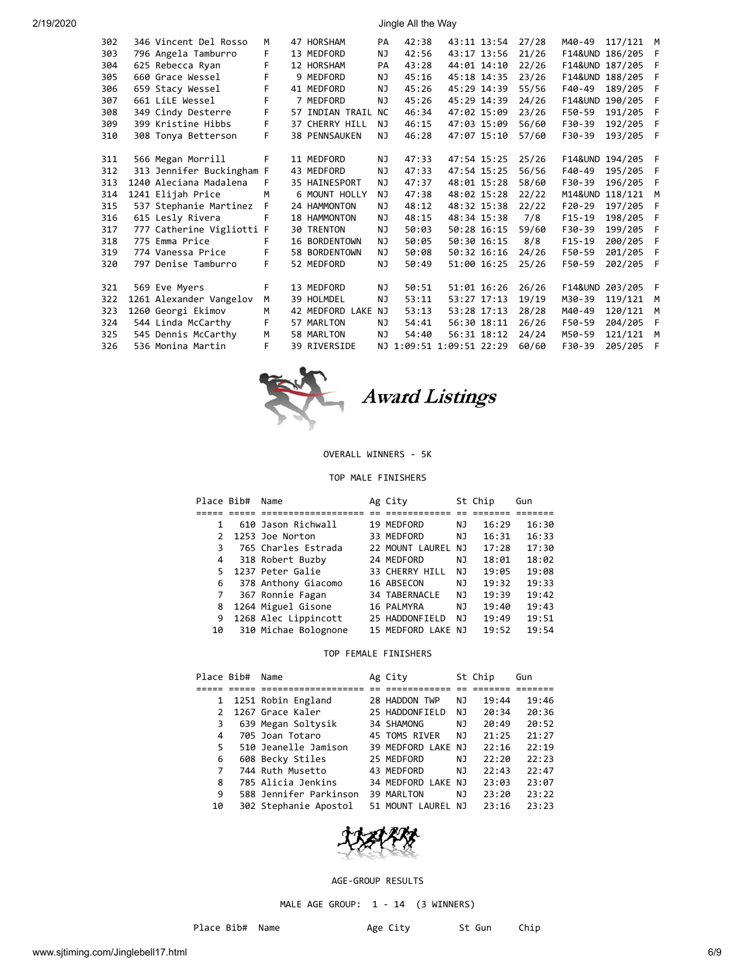| 302 | 346 Vincent Del Rosso     | м |    | 47 HORSHAM           | PA        | 42:38   |               | 43:11 13:54 | 27/28 | M40-49             | 117/121         | M |
|-----|---------------------------|---|----|----------------------|-----------|---------|---------------|-------------|-------|--------------------|-----------------|---|
| 303 | 796 Angela Tamburro       | F |    | 13 MEDFORD           | NJ        | 42:56   |               | 43:17 13:56 | 21/26 |                    | F14&UND 186/205 | F |
| 304 | 625 Rebecca Ryan          | F |    | 12 HORSHAM           | PA        | 43:28   |               | 44:01 14:10 | 22/26 |                    | F14&UND 187/205 | F |
| 305 | 660 Grace Wessel          | F |    | 9 MEDFORD            | NJ        | 45:16   |               | 45:18 14:35 | 23/26 | F14&UND            | 188/205         | F |
| 306 | 659 Stacy Wessel          | F |    | 41 MEDFORD           | NJ        | 45:26   |               | 45:29 14:39 | 55/56 | F40-49             | 189/205         | F |
| 307 | 661 LíLE Wessel           | F |    | 7 MEDFORD            | NJ        | 45:26   |               | 45:29 14:39 | 24/26 |                    | F14&UND 190/205 | F |
| 308 | 349 Cindy Desterre        | F |    | 57 INDIAN TRAIL      | <b>NC</b> | 46:34   |               | 47:02 15:09 | 23/26 | F50-59             | 191/205         | F |
| 309 | 399 Kristine Hibbs        | F |    | 37 CHERRY HILL       | NJ.       | 46:15   |               | 47:03 15:09 | 56/60 | F30-39             | 192/205         | F |
| 310 | 308 Tonya Betterson       | F |    | <b>38 PENNSAUKEN</b> | NJ        | 46:28   |               | 47:07 15:10 | 57/60 | F30-39             | 193/205         | F |
|     |                           |   |    |                      |           |         |               |             |       |                    |                 |   |
| 311 | 566 Megan Morrill         | F |    | 11 MEDFORD           | NJ.       | 47:33   |               | 47:54 15:25 | 25/26 |                    | F14&UND 194/205 | F |
| 312 | 313 Jennifer Buckingham F |   |    | 43 MEDFORD           | NJ        | 47:33   |               | 47:54 15:25 | 56/56 | F40-49             | 195/205         | F |
| 313 | 1240 Aleciana Madalena    | F |    | <b>35 HAINESPORT</b> | NJ        | 47:37   |               | 48:01 15:28 | 58/60 | F30-39             | 196/205         | F |
| 314 | 1241 Elijah Price         | M |    | 6 MOUNT HOLLY        | NJ.       | 47:38   |               | 48:02 15:28 | 22/22 | M14&UND            | 118/121         | M |
| 315 | 537 Stephanie Martinez    | F |    | 24 HAMMONTON         | NJ        | 48:12   |               | 48:32 15:38 | 22/22 | $F20-29$           | 197/205         | F |
| 316 | 615 Lesly Rivera          | F |    | 18 HAMMONTON         | NJ        | 48:15   |               | 48:34 15:38 | 7/8   | $F15 - 19$         | 198/205         | F |
| 317 | 777 Catherine Vigliotti F |   | 30 | <b>TRENTON</b>       | NJ        | 50:03   |               | 50:28 16:15 | 59/60 | F30-39             | 199/205         | F |
| 318 | 775 Emma Price            | F |    | 16 BORDENTOWN        | NJ        | 50:05   |               | 50:30 16:15 | 8/8   | $F15-19$           | 200/205         | F |
| 319 | 774 Vanessa Price         | F |    | 58 BORDENTOWN        | NJ        | 50:08   |               | 50:32 16:16 | 24/26 | F50-59             | 201/205         | F |
| 320 | 797 Denise Tamburro       | F |    | 52 MEDFORD           | NJ        | 50:49   | 51:00 16:25   |             | 25/26 | F50-59             | 202/205         | F |
|     |                           |   |    |                      |           |         |               |             |       |                    |                 |   |
| 321 | 569 Eve Myers             | F |    | 13 MEDFORD           | NJ        | 50:51   |               | 51:01 16:26 | 26/26 | <b>F14&amp;UND</b> | 203/205         | F |
| 322 | 1261 Alexander Vangelov   | м |    | 39 HOLMDEL           | NJ        | 53:11   | 53:27 17:13   |             | 19/19 | M30-39             | 119/121         | М |
| 323 | 1260 Georgi Ekimov        | M |    | 42 MEDFORD LAKE      | NJ        | 53:13   | 53:28 17:13   |             | 28/28 | M40-49             | 120/121         | M |
| 324 | 544 Linda McCarthy        | F |    | 57 MARLTON           | NJ        | 54:41   | 56:30 18:11   |             | 26/26 | F50-59             | 204/205         | F |
| 325 | 545 Dennis McCarthy       | M |    | 58 MARLTON           | NJ        | 54:40   |               | 56:31 18:12 | 24/24 | M50-59             | 121/121         | M |
| 326 | 536 Monina Martin         | F |    | 39 RIVERSIDE         | NJ.       | 1:09:51 | 1:09:51 22:29 |             | 60/60 | F30-39             | 205/205         | F |
|     |                           |   |    |                      |           |         |               |             |       |                    |                 |   |



Award Listings

## OVERALL WINNERS - 5K

TOP MALE FINISHERS

|               | Place Bib# | Name                 | Ag City            |    | St Chip | Gun   |
|---------------|------------|----------------------|--------------------|----|---------|-------|
|               |            |                      |                    |    |         |       |
|               |            | 610 Jason Richwall   | 19 MEDFORD         | ΝJ | 16:29   | 16:30 |
| $\mathcal{P}$ |            | 1253 Joe Norton      | 33 MEDFORD         | NJ | 16:31   | 16:33 |
| 3             |            | 765 Charles Estrada  | 22 MOUNT LAUREL NJ |    | 17:28   | 17:30 |
| 4             |            | 318 Robert Buzby     | 24 MEDFORD         | ΝJ | 18:01   | 18:02 |
| 5.            |            | 1237 Peter Galie     | 33 CHERRY HILL     | NJ | 19:05   | 19:08 |
| 6             |            | 378 Anthony Giacomo  | 16 ABSECON         | NJ | 19:32   | 19:33 |
| 7             |            | 367 Ronnie Fagan     | 34 TABERNACLE      | NJ | 19:39   | 19:42 |
| 8             |            | 1264 Miguel Gisone   | 16 PALMYRA         | NJ | 19:40   | 19:43 |
| 9             |            | 1268 Alec Lippincott | 25 HADDONFIELD     | NJ | 19:49   | 19:51 |
| 10            |            | 310 Michae Bolognone | 15 MEDFORD LAKE NJ |    | 19:52   | 19:54 |

### TOP FEMALE FINISHERS

| Place Bib#    | Name                   | Ag City            |     | St Chip | Gun   |
|---------------|------------------------|--------------------|-----|---------|-------|
|               |                        |                    |     |         |       |
|               | 1 1251 Robin England   | 28 HADDON TWP      | ΝJ  | 19:44   | 19:46 |
| $\mathcal{P}$ | 1267 Grace Kaler       | 25 HADDONFIELD     | NJ  | 20:34   | 20:36 |
| 3             | 639 Megan Soltysik     | 34 SHAMONG         | NJ  | 20:49   | 20:52 |
| 4             | 705 Joan Totaro        | 45 TOMS RIVER      | NJ  | 21:25   | 21:27 |
| 5.            | 510 Jeanelle Jamison   | 39 MEDFORD LAKE NJ |     | 22:16   | 22:19 |
| 6             | 608 Becky Stiles       | 25 MEDFORD         | NJ. | 22:20   | 22:23 |
| 7             | 744 Ruth Musetto       | 43 MEDFORD         | NJ  | 22:43   | 22:47 |
| 8             | 785 Alicia Jenkins     | 34 MEDFORD LAKE NJ |     | 23:03   | 23:07 |
| 9             | 588 Jennifer Parkinson | 39 MARLTON         | NJ. | 23:20   | 23:22 |
| 10            | 302 Stephanie Apostol  | 51 MOUNT LAUREL NJ |     | 23:16   | 23:23 |



### AGE-GROUP RESULTS

MALE AGE GROUP: 1 - 14 (3 WINNERS)

Place Bib# Name Mage City St Gun Chip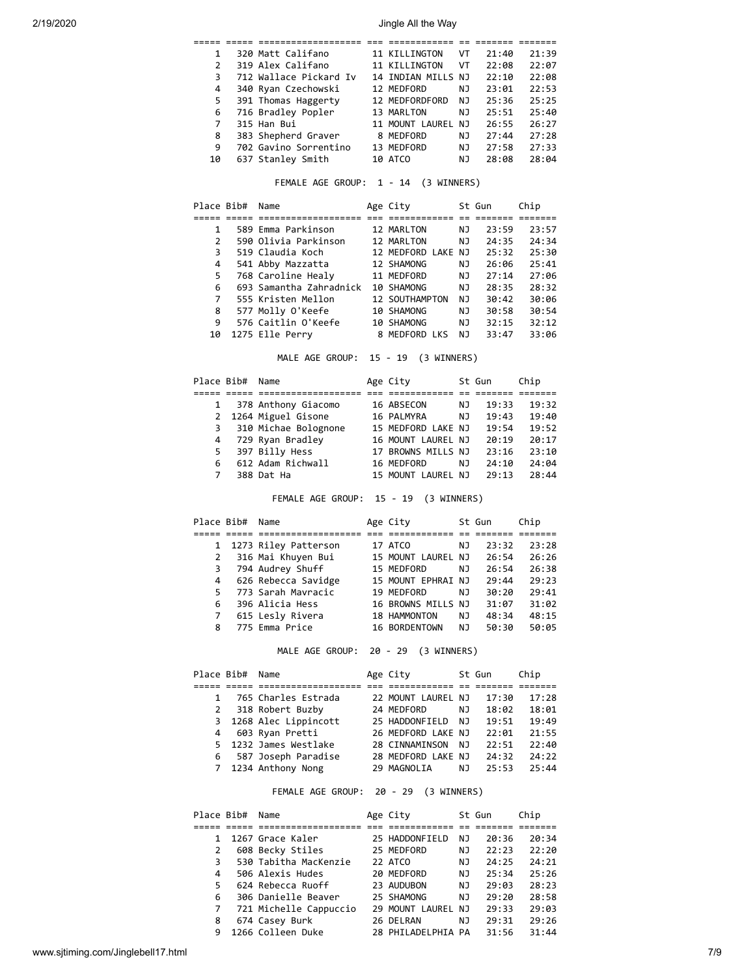| 1             | 320 Matt Califano      | 11 KILLINGTON   | VT | 21:40 | 21:39 |  |
|---------------|------------------------|-----------------|----|-------|-------|--|
| $\mathcal{P}$ | 319 Alex Califano      | 11 KILLINGTON   | VT | 22:08 | 22:07 |  |
| 3             | 712 Wallace Pickard Iv | 14 INDIAN MILLS | N٦ | 22:10 | 22:08 |  |
| 4             | 340 Ryan Czechowski    | 12 MEDFORD      | ΝJ | 23:01 | 22:53 |  |
| 5.            | 391 Thomas Haggerty    | 12 MEDFORDFORD  | NJ | 25:36 | 25:25 |  |
| 6             | 716 Bradley Popler     | 13 MARLTON      | ΝJ | 25:51 | 25:40 |  |
| 7             | 315 Han Bui            | 11 MOUNT LAUREL | NJ | 26:55 | 26:27 |  |
| 8             | 383 Shepherd Graver    | 8 MEDFORD       | ΝJ | 27:44 | 27:28 |  |
| 9             | 702 Gavino Sorrentino  | 13 MEDFORD      | ΝJ | 27:58 | 27:33 |  |
| 10            | 637 Stanley Smith      | 10 ATCO         | ΝJ | 28:08 | 28:04 |  |
|               |                        |                 |    |       |       |  |

FEMALE AGE GROUP: 1 - 14 (3 WINNERS)

| Place Bib#    | Name                    | Age City           |     | St Gun | Chip  |
|---------------|-------------------------|--------------------|-----|--------|-------|
|               |                         |                    |     |        |       |
| 1             | 589 Emma Parkinson      | 12 MARLTON         | NJ  | 23:59  | 23:57 |
| $\mathcal{P}$ | 590 Olivia Parkinson    | 12 MARLTON         | NJ. | 24:35  | 24:34 |
| 3             | 519 Claudia Koch        | 12 MEDFORD LAKE NJ |     | 25:32  | 25:30 |
| 4             | 541 Abby Mazzatta       | 12 SHAMONG         | NJ. | 26:06  | 25:41 |
| 5             | 768 Caroline Healy      | 11 MEDFORD         | NJ  | 27:14  | 27:06 |
| 6             | 693 Samantha Zahradnick | 10 SHAMONG         | NJ  | 28:35  | 28:32 |
| 7             | 555 Kristen Mellon      | 12 SOUTHAMPTON     | NJ  | 30:42  | 30:06 |
| 8             | 577 Molly O'Keefe       | 10 SHAMONG         | NJ  | 30:58  | 30:54 |
| 9             | 576 Caitlin O'Keefe     | 10 SHAMONG         | NJ  | 32:15  | 32:12 |
| 10            | 1275 Elle Perry         | 8 MEDFORD LKS      | NJ  | 33:47  | 33:06 |

MALE AGE GROUP: 15 - 19 (3 WINNERS)

| Place Bib#   | Name                   | Age City           |    | St Gun | Chip  |
|--------------|------------------------|--------------------|----|--------|-------|
|              |                        |                    |    |        |       |
| $\mathbf{1}$ | 378 Anthony Giacomo    | 16 ABSECON         | NJ | 19:33  | 19:32 |
|              | 2 1264 Miguel Gisone   | 16 PALMYRA         | NJ | 19:43  | 19:40 |
|              | 3 310 Michae Bolognone | 15 MEDFORD LAKE NJ |    | 19:54  | 19:52 |
| 4            | 729 Ryan Bradley       | 16 MOUNT LAUREL NJ |    | 20:19  | 20:17 |
| 5.           | 397 Billy Hess         | 17 BROWNS MILLS NJ |    | 23:16  | 23:10 |
| 6            | 612 Adam Richwall      | 16 MEDFORD         | NJ | 24:10  | 24:04 |
|              | 388 Dat Ha             | 15 MOUNT LAUREL NJ |    | 29:13  | 28:44 |

## FEMALE AGE GROUP: 15 - 19 (3 WINNERS)

|                | Place Bib# | Name                   | Age City           |     | St Gun | Chip  |
|----------------|------------|------------------------|--------------------|-----|--------|-------|
|                |            |                        |                    |     |        |       |
|                |            | 1 1273 Riley Patterson | 17 ATCO            | NJ  | 23:32  | 23:28 |
| $2^{\circ}$    |            | 316 Mai Khuyen Bui     | 15 MOUNT LAUREL NJ |     | 26:54  | 26:26 |
| 3              |            | 794 Audrey Shuff       | 15 MEDFORD         | NJ  | 26:54  | 26:38 |
| $\overline{4}$ |            | 626 Rebecca Savidge    | 15 MOUNT EPHRAI NJ |     | 29:44  | 29:23 |
| 5.             |            | 773 Sarah Mavracic     | 19 MEDFORD         | NJ. | 30:20  | 29:41 |
| 6              |            | 396 Alicia Hess        | 16 BROWNS MILLS NJ |     | 31:07  | 31:02 |
| 7              |            | 615 Lesly Rivera       | 18 HAMMONTON       | NJ. | 48:34  | 48:15 |
| 8              |            | 775 Emma Price         | 16 BORDENTOWN      | NJ  | 50:30  | 50:05 |

MALE AGE GROUP: 20 - 29 (3 WINNERS)

|                | Place Bib# Name |                        | Age City           |     | St Gun | Chip  |
|----------------|-----------------|------------------------|--------------------|-----|--------|-------|
|                |                 |                        |                    |     |        |       |
|                |                 | 765 Charles Estrada    | 22 MOUNT LAUREL NJ |     | 17:30  | 17:28 |
|                |                 | 2 318 Robert Buzby     | 24 MEDFORD         | NJ  | 18:02  | 18:01 |
|                |                 | 3 1268 Alec Lippincott | 25 HADDONFIELD     | N J | 19:51  | 19:49 |
| $\overline{4}$ |                 | 603 Ryan Pretti        | 26 MEDFORD LAKE NJ |     | 22:01  | 21:55 |
|                |                 | 5 1232 James Westlake  | 28 CINNAMINSON     | NJ  | 22:51  | 22:40 |
| 6              |                 | 587 Joseph Paradise    | 28 MEDFORD LAKE NJ |     | 24:32  | 24:22 |
|                |                 | 7 1234 Anthony Nong    | 29 MAGNOLIA        | NJ  | 25:53  | 25:44 |

FEMALE AGE GROUP: 20 - 29 (3 WINNERS)

|   | Place Bib# | Name                   | Age City           |    | St Gun | Chip  |
|---|------------|------------------------|--------------------|----|--------|-------|
|   |            |                        |                    |    |        |       |
|   |            | 1267 Grace Kaler       | 25 HADDONFIELD     | NJ | 20:36  | 20:34 |
| 2 |            | 608 Becky Stiles       | 25 MEDFORD         | NJ | 22:23  | 22:20 |
| 3 |            | 530 Tabitha MacKenzie  | 22 ATCO            | NJ | 24:25  | 24:21 |
| 4 |            | 506 Alexis Hudes       | 20 MEDFORD         | NJ | 25:34  | 25:26 |
| 5 |            | 624 Rebecca Ruoff      | 23 AUDUBON         | NJ | 29:03  | 28:23 |
| 6 |            | 306 Danielle Beaver    | 25 SHAMONG         | NJ | 29:20  | 28:58 |
|   |            | 721 Michelle Cappuccio | 29 MOUNT LAUREL NJ |    | 29:33  | 29:03 |
| 8 |            | 674 Casey Burk         | 26 DELRAN          | NJ | 29:31  | 29:26 |
| 9 |            | 1266 Colleen Duke      | 28 PHILADELPHIA PA |    | 31:56  | 31:44 |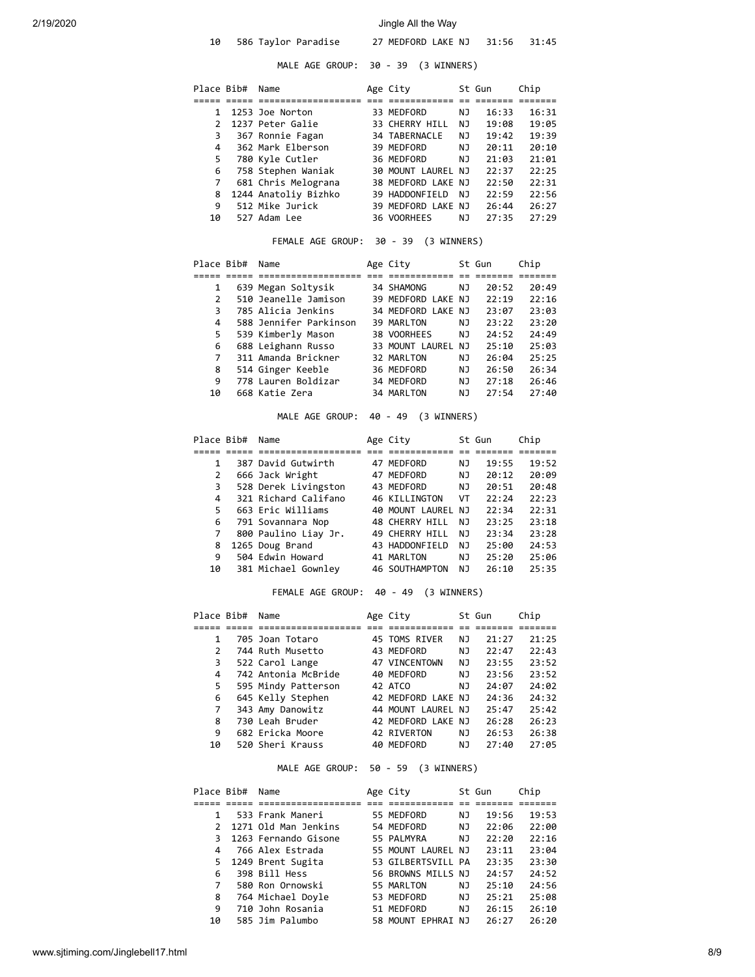10 586 Taylor Paradise 27 MEDFORD LAKE NJ 31:56 31:45

MALE AGE GROUP: 30 - 39 (3 WINNERS)

| Place Bib#    | Name                 | Age City           |     | St Gun | Chip  |
|---------------|----------------------|--------------------|-----|--------|-------|
|               |                      |                    |     |        |       |
| 1             | 1253 Joe Norton      | 33 MEDFORD         | NJ  | 16:33  | 16:31 |
| $\mathcal{P}$ | 1237 Peter Galie     | 33 CHERRY HILL     | NJ  | 19:08  | 19:05 |
| 3             | 367 Ronnie Fagan     | 34 TABERNACLE      | NJ. | 19:42  | 19:39 |
| 4             | 362 Mark Elberson    | 39 MEDFORD         | NJ  | 20:11  | 20:10 |
| 5             | 780 Kyle Cutler      | 36 MEDFORD         | NJ  | 21:03  | 21:01 |
| 6             | 758 Stephen Waniak   | 30 MOUNT LAUREL NJ |     | 22:37  | 22:25 |
| 7             | 681 Chris Melograna  | 38 MEDFORD LAKE NJ |     | 22:50  | 22:31 |
| 8             | 1244 Anatoliy Bizhko | 39 HADDONFIELD     | NJ  | 22:59  | 22:56 |
| 9             | 512 Mike Jurick      | 39 MEDFORD LAKE NJ |     | 26:44  | 26:27 |
| 10            | 527 Adam Lee         | 36 VOORHEES        | NJ  | 27:35  | 27:29 |

#### FEMALE AGE GROUP: 30 - 39 (3 WINNERS)

| Place Bib# | Name                   | Age City           |     | St Gun | Chip  |
|------------|------------------------|--------------------|-----|--------|-------|
|            |                        |                    |     |        |       |
| 1          | 639 Megan Soltysik     | 34 SHAMONG         | NJ  | 20:52  | 20:49 |
| 2          | 510 Jeanelle Jamison   | 39 MEDFORD LAKE NJ |     | 22:19  | 22:16 |
| 3          | 785 Alicia Jenkins     | 34 MEDFORD LAKE NJ |     | 23:07  | 23:03 |
| 4          | 588 Jennifer Parkinson | 39 MARLTON         | NJ. | 23:22  | 23:20 |
| 5          | 539 Kimberly Mason     | 38 VOORHEES        | NJ  | 24:52  | 74:49 |
| 6          | 688 Leighann Russo     | 33 MOUNT LAUREL NJ |     | 25:10  | 25:03 |
| 7          | 311 Amanda Brickner    | 32 MARLTON         | NJ  | 26:04  | 25:25 |
| 8          | 514 Ginger Keeble      | 36 MEDFORD         | NJ  | 26:50  | 26:34 |
| 9          | 778 Lauren Boldizar    | 34 MEDFORD         | NJ  | 27:18  | 26:46 |
| 10         | 668 Katie Zera         | 34 MARLTON         | ΝJ  | 27:54  | 27:40 |

### MALE AGE GROUP: 40 - 49 (3 WINNERS)

| Place Bib# | Name                 | Age City           |     | St Gun | Chip  |
|------------|----------------------|--------------------|-----|--------|-------|
|            |                      |                    |     |        |       |
|            | 387 David Gutwirth   | 47 MEDFORD         | ΝJ  | 19:55  | 19:52 |
| 2          | 666 Jack Wright      | 47 MEDFORD         | ΝJ  | 20:12  | 20:09 |
| 3          | 528 Derek Livingston | 43 MEDFORD         | ΝJ  | 20:51  | 20:48 |
| 4          | 321 Richard Califano | 46 KILLINGTON      | VT  | 22:24  | 22:23 |
| 5          | 663 Eric Williams    | 40 MOUNT LAUREL NJ |     | 22:34  | 22:31 |
| 6          | 791 Sovannara Nop    | 48 CHERRY HILL     | NJ. | 23:25  | 23:18 |
| 7          | 800 Paulino Liay Jr. | 49 CHERRY HILL     | NJ  | 23:34  | 23:28 |
| 8          | 1265 Doug Brand      | 43 HADDONFIELD     | NJ. | 25:00  | 24:53 |
| 9          | 504 Edwin Howard     | 41 MARLTON         | NJ  | 25:20  | 25:06 |
| 10         | 381 Michael Gownley  | 46 SOUTHAMPTON     | NJ  | 26:10  | 25:35 |

### FEMALE AGE GROUP: 40 - 49 (3 WINNERS)

| Place Bib#    | Name                | Age City           |    | St Gun | Chip  |
|---------------|---------------------|--------------------|----|--------|-------|
|               |                     |                    |    |        |       |
| 1             | 705 Joan Totaro     | 45 TOMS RIVER      | NJ | 21:27  | 21:25 |
| $\mathcal{P}$ | 744 Ruth Musetto    | 43 MEDFORD         | ΝJ | 22:47  | 22:43 |
| 3             | 522 Carol Lange     | 47 VINCENTOWN      | NJ | 23:55  | 23:52 |
| 4             | 742 Antonia McBride | 40 MEDFORD         | NJ | 23:56  | 23:52 |
| 5             | 595 Mindy Patterson | 42 ATCO            | ΝJ | 24:07  | 24:02 |
| 6             | 645 Kelly Stephen   | 42 MEDFORD LAKE NJ |    | 24:36  | 24:32 |
| 7             | 343 Amy Danowitz    | 44 MOUNT LAUREL NJ |    | 25:47  | 25:42 |
| 8             | 730 Leah Bruder     | 42 MEDFORD LAKE NJ |    | 26:28  | 26:23 |
| 9             | 682 Ericka Moore    | 42 RIVERTON        | NJ | 26:53  | 26:38 |
| 10            | 520 Sheri Krauss    | 40 MEDFORD         | ΝJ | 27:40  | 27:05 |

### MALE AGE GROUP: 50 - 59 (3 WINNERS)

| Place Bib#    | Name                 | Age City           |     | St Gun | Chip  |
|---------------|----------------------|--------------------|-----|--------|-------|
|               |                      |                    |     |        |       |
|               | 533 Frank Maneri     | 55 MEDFORD         | NJ  | 19:56  | 19:53 |
| $\mathcal{P}$ | 1271 Old Man Jenkins | 54 MEDFORD         | NJ  | 22:06  | 22:00 |
| 3             | 1263 Fernando Gisone | 55 PALMYRA         | NJ  | 22:20  | 22:16 |
| 4             | 766 Alex Estrada     | 55 MOUNT LAUREL NJ |     | 23:11  | 23:04 |
| 5.            | 1249 Brent Sugita    | 53 GILBERTSVILL PA |     | 23:35  | 23:30 |
| 6             | 398 Bill Hess        | 56 BROWNS MILLS NJ |     | 24:57  | 24:52 |
| 7             | 580 Ron Ornowski     | 55 MARLTON         | NJ. | 25:10  | 24:56 |
| 8             | 764 Michael Doyle    | 53 MEDFORD         | NJ  | 25:21  | 25:08 |
| 9             | 710 John Rosania     | 51 MEDFORD         | NJ  | 26:15  | 26:10 |
| 10            | 585 Jim Palumbo      | 58 MOUNT EPHRAI    | N J | 26:27  | 26:20 |